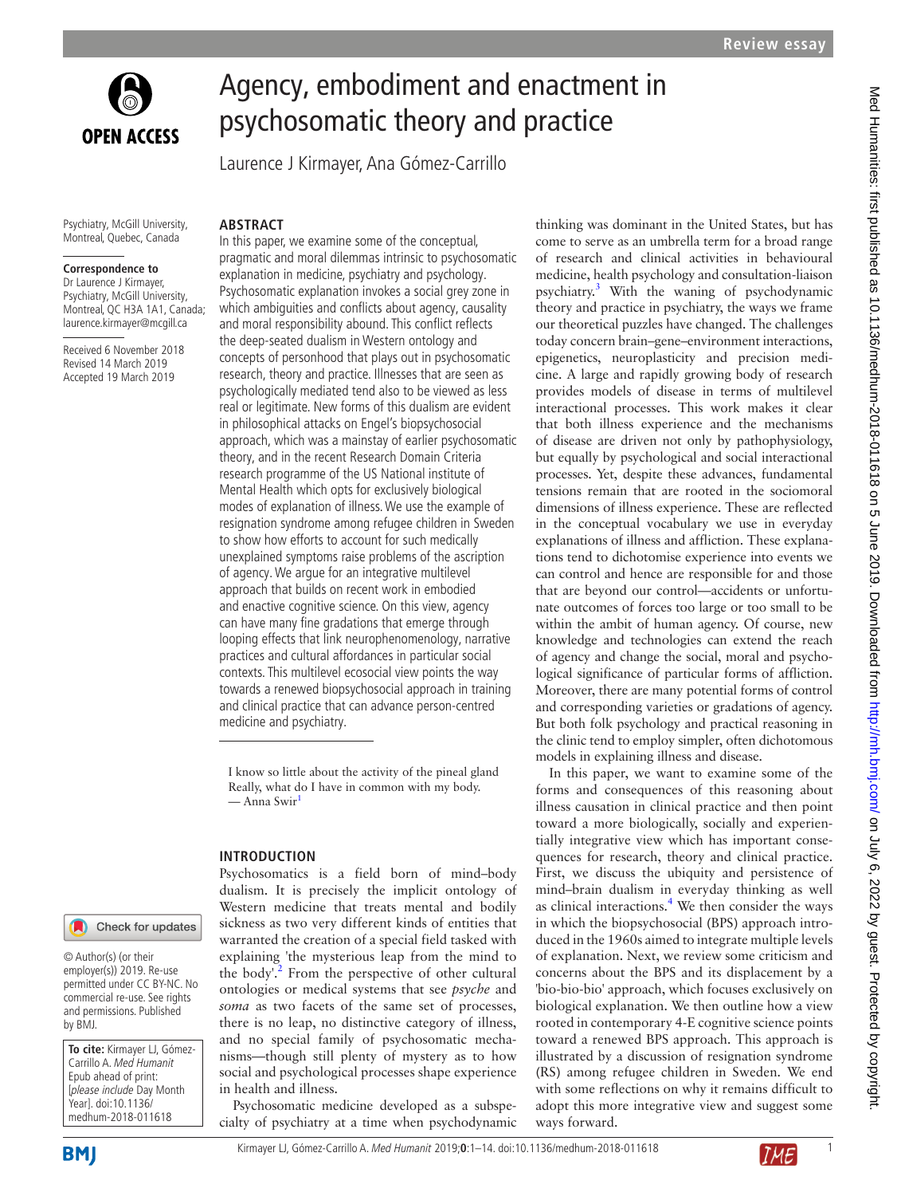

# Agency, embodiment and enactment in psychosomatic theory and practice

Laurence J Kirmayer, Ana Gómez-Carrillo

Psychiatry, McGill University, Montreal, Quebec, Canada

**ARSTRACT** 

#### **Correspondence to**

Dr Laurence J Kirmayer, Psychiatry, McGill University, Montreal, QC H3A 1A1, Canada; laurence.kirmayer@mcgill.ca

Received 6 November 2018 Revised 14 March 2019 Accepted 19 March 2019

In this paper, we examine some of the conceptual, pragmatic and moral dilemmas intrinsic to psychosomatic explanation in medicine, psychiatry and psychology. Psychosomatic explanation invokes a social grey zone in which ambiguities and conflicts about agency, causality and moral responsibility abound. This conflict reflects the deep-seated dualism in Western ontology and concepts of personhood that plays out in psychosomatic research, theory and practice. Illnesses that are seen as psychologically mediated tend also to be viewed as less real or legitimate. New forms of this dualism are evident in philosophical attacks on Engel's biopsychosocial approach, which was a mainstay of earlier psychosomatic theory, and in the recent Research Domain Criteria research programme of the US National institute of Mental Health which opts for exclusively biological modes of explanation of illness. We use the example of resignation syndrome among refugee children in Sweden to show how efforts to account for such medically unexplained symptoms raise problems of the ascription of agency. We argue for an integrative multilevel approach that builds on recent work in embodied and enactive cognitive science. On this view, agency can have many fine gradations that emerge through looping effects that link neurophenomenology, narrative practices and cultural affordances in particular social contexts. This multilevel ecosocial view points the way towards a renewed biopsychosocial approach in training and clinical practice that can advance person-centred medicine and psychiatry.

I know so little about the activity of the pineal gland Really, what do I have in common with my body. — Anna Swir<sup>1</sup>

#### **Introduction**

Check for updates

© Author(s) (or their employer(s)) 2019. Re-use permitted under CC BY-NC. No commercial re-use. See rights and permissions. Published by BMJ.

**To cite:** Kirmayer LJ, Gómez-Carrillo A. Med Humanit Epub ahead of print: [please include Day Month Year]. doi:10.1136/ medhum-2018-011618

Psychosomatics is a field born of mind–body dualism. It is precisely the implicit ontology of Western medicine that treats mental and bodily sickness as two very different kinds of entities that warranted the creation of a special field tasked with explaining 'the mysterious leap from the mind to the body'.<sup>[2](#page-9-1)</sup> From the perspective of other cultural ontologies or medical systems that see *psyche* and *soma* as two facets of the same set of processes, there is no leap, no distinctive category of illness, and no special family of psychosomatic mechanisms—though still plenty of mystery as to how social and psychological processes shape experience in health and illness.

Psychosomatic medicine developed as a subspecialty of psychiatry at a time when psychodynamic thinking was dominant in the United States, but has come to serve as an umbrella term for a broad range of research and clinical activities in behavioural medicine, health psychology and consultation-liaison psychiatry.[3](#page-9-2) With the waning of psychodynamic theory and practice in psychiatry, the ways we frame our theoretical puzzles have changed. The challenges today concern brain–gene–environment interactions, epigenetics, neuroplasticity and precision medicine. A large and rapidly growing body of research provides models of disease in terms of multilevel interactional processes. This work makes it clear that both illness experience and the mechanisms of disease are driven not only by pathophysiology, but equally by psychological and social interactional processes. Yet, despite these advances, fundamental tensions remain that are rooted in the sociomoral dimensions of illness experience. These are reflected in the conceptual vocabulary we use in everyday explanations of illness and affliction. These explanations tend to dichotomise experience into events we can control and hence are responsible for and those that are beyond our control—accidents or unfortunate outcomes of forces too large or too small to be within the ambit of human agency. Of course, new knowledge and technologies can extend the reach of agency and change the social, moral and psychological significance of particular forms of affliction. Moreover, there are many potential forms of control and corresponding varieties or gradations of agency. But both folk psychology and practical reasoning in the clinic tend to employ simpler, often dichotomous models in explaining illness and disease.

In this paper, we want to examine some of the forms and consequences of this reasoning about illness causation in clinical practice and then point toward a more biologically, socially and experientially integrative view which has important consequences for research, theory and clinical practice. First, we discuss the ubiquity and persistence of mind–brain dualism in everyday thinking as well as clinical interactions.<sup>[4](#page-9-3)</sup> We then consider the ways in which the biopsychosocial (BPS) approach introduced in the 1960s aimed to integrate multiple levels of explanation. Next, we review some criticism and concerns about the BPS and its displacement by a 'bio-bio-bio' approach, which focuses exclusively on biological explanation. We then outline how a view rooted in contemporary 4-E cognitive science points toward a renewed BPS approach. This approach is illustrated by a discussion of resignation syndrome (RS) among refugee children in Sweden. We end with some reflections on why it remains difficult to adopt this more integrative view and suggest some ways forward.

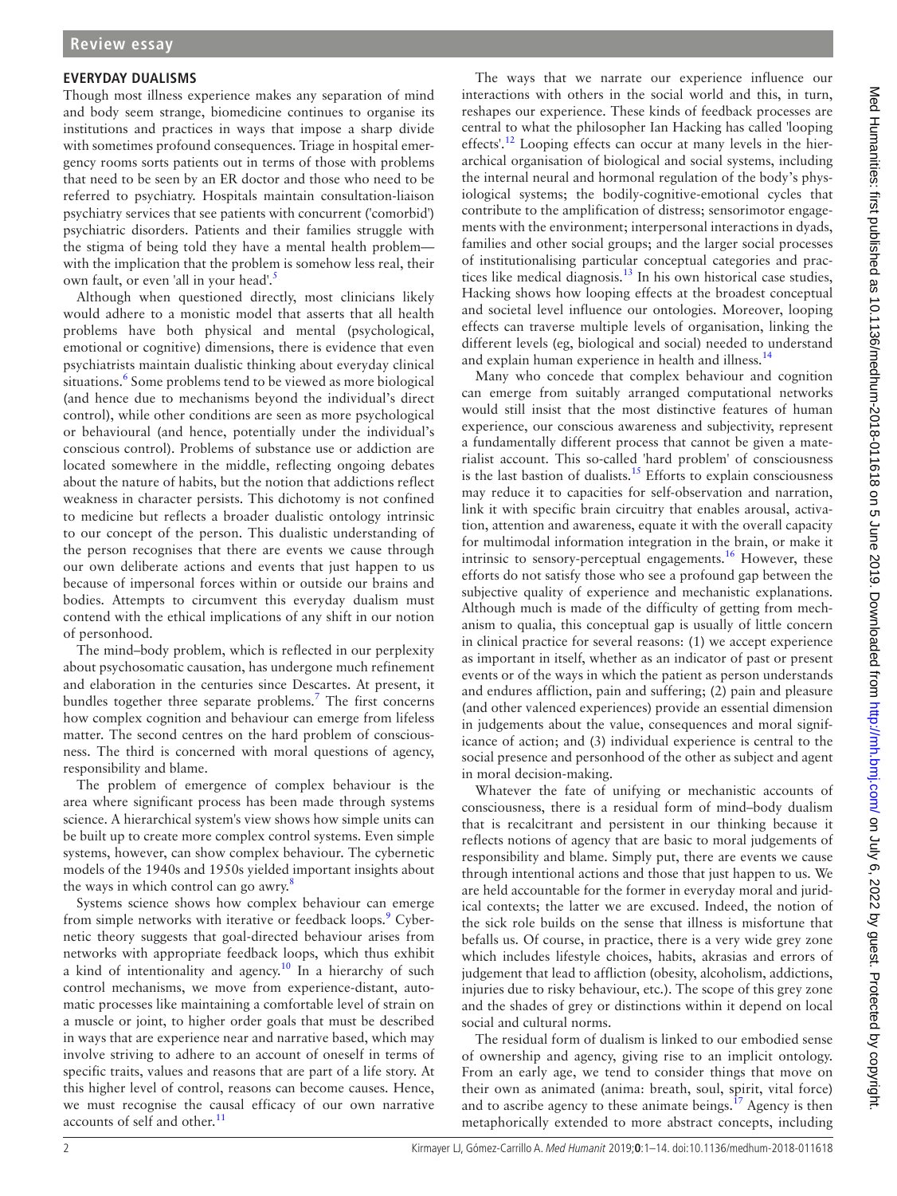#### **Everyday dualisms**

Though most illness experience makes any separation of mind and body seem strange, biomedicine continues to organise its institutions and practices in ways that impose a sharp divide with sometimes profound consequences. Triage in hospital emergency rooms sorts patients out in terms of those with problems that need to be seen by an ER doctor and those who need to be referred to psychiatry. Hospitals maintain consultation-liaison psychiatry services that see patients with concurrent ('comorbid') psychiatric disorders. Patients and their families struggle with the stigma of being told they have a mental health problem with the implication that the problem is somehow less real, their own fault, or even 'all in your head'.<sup>5</sup>

Although when questioned directly, most clinicians likely would adhere to a monistic model that asserts that all health problems have both physical and mental (psychological, emotional or cognitive) dimensions, there is evidence that even psychiatrists maintain dualistic thinking about everyday clinical situations.<sup>[6](#page-9-5)</sup> Some problems tend to be viewed as more biological (and hence due to mechanisms beyond the individual's direct control), while other conditions are seen as more psychological or behavioural (and hence, potentially under the individual's conscious control). Problems of substance use or addiction are located somewhere in the middle, reflecting ongoing debates about the nature of habits, but the notion that addictions reflect weakness in character persists. This dichotomy is not confined to medicine but reflects a broader dualistic ontology intrinsic to our concept of the person. This dualistic understanding of the person recognises that there are events we cause through our own deliberate actions and events that just happen to us because of impersonal forces within or outside our brains and bodies. Attempts to circumvent this everyday dualism must contend with the ethical implications of any shift in our notion of personhood.

The mind–body problem, which is reflected in our perplexity about psychosomatic causation, has undergone much refinement and elaboration in the centuries since Descartes. At present, it bundles together three separate problems.<sup>7</sup> The first concerns how complex cognition and behaviour can emerge from lifeless matter. The second centres on the hard problem of consciousness. The third is concerned with moral questions of agency, responsibility and blame.

The problem of emergence of complex behaviour is the area where significant process has been made through systems science. A hierarchical system's view shows how simple units can be built up to create more complex control systems. Even simple systems, however, can show complex behaviour. The cybernetic models of the 1940s and 1950s yielded important insights about the ways in which control can go awry.<sup>8</sup>

Systems science shows how complex behaviour can emerge from simple networks with iterative or feedback loops.<sup>[9](#page-9-8)</sup> Cybernetic theory suggests that goal-directed behaviour arises from networks with appropriate feedback loops, which thus exhibit a kind of intentionality and agency.<sup>[10](#page-9-9)</sup> In a hierarchy of such control mechanisms, we move from experience-distant, automatic processes like maintaining a comfortable level of strain on a muscle or joint, to higher order goals that must be described in ways that are experience near and narrative based, which may involve striving to adhere to an account of oneself in terms of specific traits, values and reasons that are part of a life story. At this higher level of control, reasons can become causes. Hence, we must recognise the causal efficacy of our own narrative accounts of self and other.<sup>11</sup>

The ways that we narrate our experience influence our interactions with others in the social world and this, in turn, reshapes our experience. These kinds of feedback processes are central to what the philosopher Ian Hacking has called 'looping effects'.<sup>12</sup> Looping effects can occur at many levels in the hierarchical organisation of biological and social systems, including the internal neural and hormonal regulation of the body's physiological systems; the bodily-cognitive-emotional cycles that contribute to the amplification of distress; sensorimotor engagements with the environment; interpersonal interactions in dyads, families and other social groups; and the larger social processes of institutionalising particular conceptual categories and practices like medical diagnosis.[13](#page-9-12) In his own historical case studies, Hacking shows how looping effects at the broadest conceptual and societal level influence our ontologies. Moreover, looping effects can traverse multiple levels of organisation, linking the different levels (eg, biological and social) needed to understand and explain human experience in health and illness.<sup>14</sup>

Many who concede that complex behaviour and cognition can emerge from suitably arranged computational networks would still insist that the most distinctive features of human experience, our conscious awareness and subjectivity, represent a fundamentally different process that cannot be given a materialist account. This so-called 'hard problem' of consciousness is the last bastion of dualists.<sup>15</sup> Efforts to explain consciousness may reduce it to capacities for self-observation and narration, link it with specific brain circuitry that enables arousal, activation, attention and awareness, equate it with the overall capacity for multimodal information integration in the brain, or make it intrinsic to sensory-perceptual engagements.<sup>[16](#page-9-15)</sup> However, these efforts do not satisfy those who see a profound gap between the subjective quality of experience and mechanistic explanations. Although much is made of the difficulty of getting from mechanism to qualia, this conceptual gap is usually of little concern in clinical practice for several reasons: (1) we accept experience as important in itself, whether as an indicator of past or present events or of the ways in which the patient as person understands and endures affliction, pain and suffering; (2) pain and pleasure (and other valenced experiences) provide an essential dimension in judgements about the value, consequences and moral significance of action; and (3) individual experience is central to the social presence and personhood of the other as subject and agent in moral decision-making.

Whatever the fate of unifying or mechanistic accounts of consciousness, there is a residual form of mind–body dualism that is recalcitrant and persistent in our thinking because it reflects notions of agency that are basic to moral judgements of responsibility and blame. Simply put, there are events we cause through intentional actions and those that just happen to us. We are held accountable for the former in everyday moral and juridical contexts; the latter we are excused. Indeed, the notion of the sick role builds on the sense that illness is misfortune that befalls us. Of course, in practice, there is a very wide grey zone which includes lifestyle choices, habits, akrasias and errors of judgement that lead to affliction (obesity, alcoholism, addictions, injuries due to risky behaviour, etc.). The scope of this grey zone and the shades of grey or distinctions within it depend on local social and cultural norms.

The residual form of dualism is linked to our embodied sense of ownership and agency, giving rise to an implicit ontology. From an early age, we tend to consider things that move on their own as animated (anima: breath, soul, spirit, vital force) and to ascribe agency to these animate beings.<sup>17</sup> Agency is then metaphorically extended to more abstract concepts, including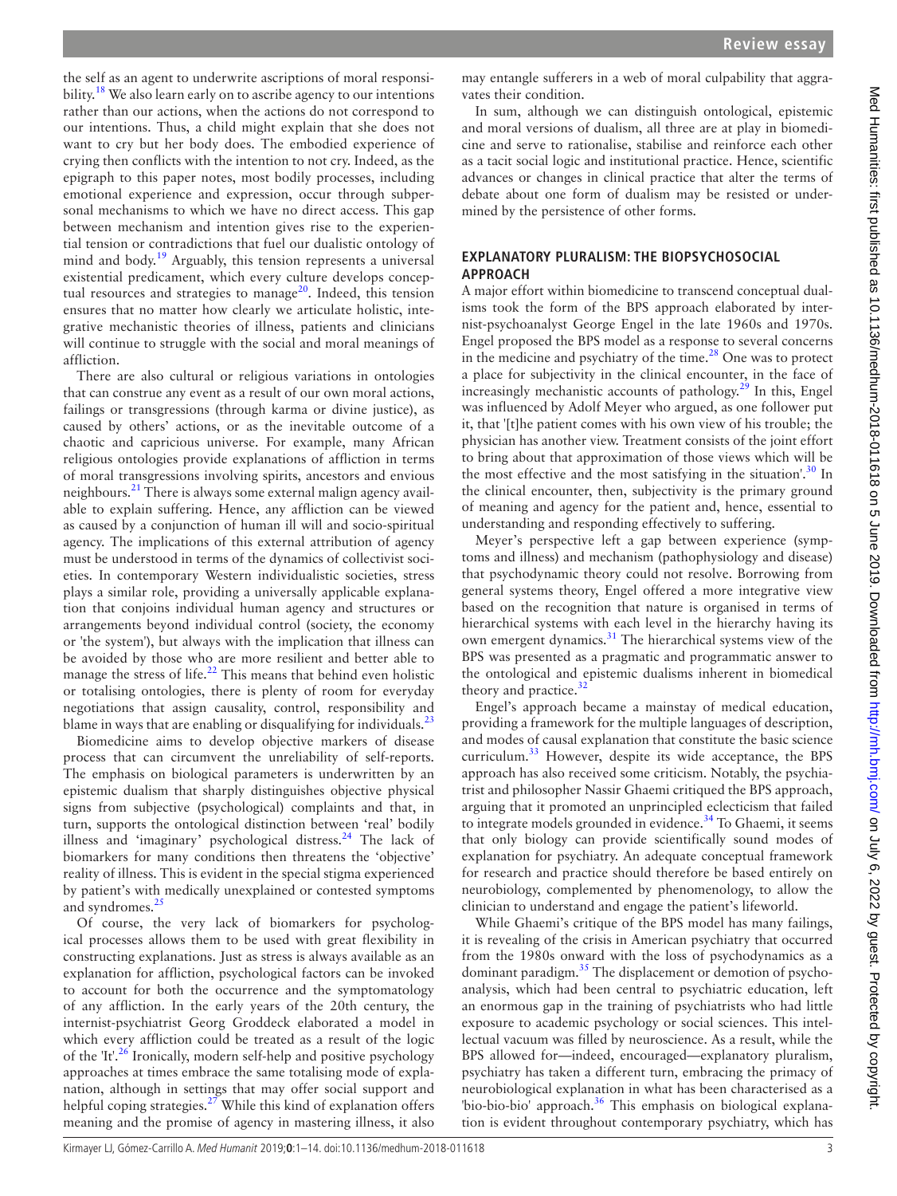the self as an agent to underwrite ascriptions of moral responsi-bility.<sup>[18](#page-9-17)</sup> We also learn early on to ascribe agency to our intentions rather than our actions, when the actions do not correspond to our intentions. Thus, a child might explain that she does not want to cry but her body does. The embodied experience of crying then conflicts with the intention to not cry. Indeed, as the epigraph to this paper notes, most bodily processes, including emotional experience and expression, occur through subpersonal mechanisms to which we have no direct access. This gap between mechanism and intention gives rise to the experiential tension or contradictions that fuel our dualistic ontology of mind and body.<sup>19</sup> Arguably, this tension represents a universal existential predicament, which every culture develops conceptual resources and strategies to manage<sup>20</sup>. Indeed, this tension ensures that no matter how clearly we articulate holistic, integrative mechanistic theories of illness, patients and clinicians will continue to struggle with the social and moral meanings of affliction.

There are also cultural or religious variations in ontologies that can construe any event as a result of our own moral actions, failings or transgressions (through karma or divine justice), as caused by others' actions, or as the inevitable outcome of a chaotic and capricious universe. For example, many African religious ontologies provide explanations of affliction in terms of moral transgressions involving spirits, ancestors and envious neighbours.[21](#page-9-20) There is always some external malign agency available to explain suffering. Hence, any affliction can be viewed as caused by a conjunction of human ill will and socio-spiritual agency. The implications of this external attribution of agency must be understood in terms of the dynamics of collectivist societies. In contemporary Western individualistic societies, stress plays a similar role, providing a universally applicable explanation that conjoins individual human agency and structures or arrangements beyond individual control (society, the economy or 'the system'), but always with the implication that illness can be avoided by those who are more resilient and better able to manage the stress of life. $^{22}$  $^{22}$  $^{22}$  This means that behind even holistic or totalising ontologies, there is plenty of room for everyday negotiations that assign causality, control, responsibility and blame in ways that are enabling or disqualifying for individuals. $^{23}$  $^{23}$  $^{23}$ 

Biomedicine aims to develop objective markers of disease process that can circumvent the unreliability of self-reports. The emphasis on biological parameters is underwritten by an epistemic dualism that sharply distinguishes objective physical signs from subjective (psychological) complaints and that, in turn, supports the ontological distinction between 'real' bodily illness and 'imaginary' psychological distress. $^{24}$  The lack of biomarkers for many conditions then threatens the 'objective' reality of illness. This is evident in the special stigma experienced by patient's with medically unexplained or contested symptoms and syndromes.<sup>[25](#page-9-24)</sup>

Of course, the very lack of biomarkers for psychological processes allows them to be used with great flexibility in constructing explanations. Just as stress is always available as an explanation for affliction, psychological factors can be invoked to account for both the occurrence and the symptomatology of any affliction. In the early years of the 20th century, the internist-psychiatrist Georg Groddeck elaborated a model in which every affliction could be treated as a result of the logic of the  $It'^{26}$  $It'^{26}$  $It'^{26}$  Ironically, modern self-help and positive psychology approaches at times embrace the same totalising mode of explanation, although in settings that may offer social support and helpful coping strategies. $27$  While this kind of explanation offers meaning and the promise of agency in mastering illness, it also

may entangle sufferers in a web of moral culpability that aggravates their condition.

In sum, although we can distinguish ontological, epistemic and moral versions of dualism, all three are at play in biomedicine and serve to rationalise, stabilise and reinforce each other as a tacit social logic and institutional practice. Hence, scientific advances or changes in clinical practice that alter the terms of debate about one form of dualism may be resisted or undermined by the persistence of other forms.

#### **Explanatory pluralism: the biopsychosocial approac h**

A major effort within biomedicine to transcend conceptual dualisms took the form of the BPS approach elaborated by internist-psychoanalyst George Engel in the late 1960s and 1970s. Engel proposed the BPS model as a response to several concerns in the medicine and psychiatry of the time. $^{28}$  $^{28}$  $^{28}$  One was to protect a place for subjectivity in the clinical encounter, in the face of increasingly mechanistic accounts of pathology. $2<sup>9</sup>$  In this, Engel was influenced by Adolf Meyer who argued, as one follower put it, that '[t]he patient comes with his own view of his trouble; the physician has another view. Treatment consists of the joint effort to bring about that approximation of those views which will be the most effective and the most satisfying in the situation'.<sup>[30](#page-9-29)</sup> In the clinical encounter, then, subjectivity is the primary ground of meaning and agency for the patient and, hence, essential to understanding and responding effectively to suffering.

Meyer's perspective left a gap between experience (symptoms and illness) and mechanism (pathophysiology and disease) that psychodynamic theory could not resolve. Borrowing from general systems theory, Engel offered a more integrative view based on the recognition that nature is organised in terms of hierarchical systems with each level in the hierarchy having its own emergent dynamics.<sup>31</sup> The hierarchical systems view of the BPS was presented as a pragmatic and programmatic answer to the ontological and epistemic dualisms inherent in biomedical theory and practice.<sup>[32](#page-9-31)</sup>

Engel's approach became a mainstay of medical education, providing a framework for the multiple languages of description, and modes of causal explanation that constitute the basic science curriculum[.33](#page-10-0) However, despite its wide acceptance, the BPS approach has also received some criticism. Notably, the psychiatrist and philosopher Nassir Ghaemi critiqued the BPS approach, arguing that it promoted an unprincipled eclecticism that failed to integrate models grounded in evidence.<sup>[34](#page-10-1)</sup> To Ghaemi, it seems that only biology can provide scientifically sound modes of explanation for psychiatry. An adequate conceptual framework for research and practice should therefore be based entirely on neurobiology, complemented by phenomenology, to allow the clinician to understand and engage the patient's lifeworld.

While Ghaemi's critique of the BPS model has many failings, it is revealing of the crisis in American psychiatry that occurred from the 1980s onward with the loss of psychodynamics as a dominant paradigm.<sup>[35](#page-10-2)</sup> The displacement or demotion of psychoanalysis, which had been central to psychiatric education, left an enormous gap in the training of psychiatrists who had little exposure to academic psychology or social sciences. This intellectual vacuum was filled by neuroscience. As a result, while the BPS allowed for—indeed, encouraged—explanatory pluralism, psychiatry has taken a different turn, embracing the primacy of neurobiological explanation in what has been characterised as a 'bio-bio-bio' approach.<sup>[36](#page-10-3)</sup> This emphasis on biological explanation is evident throughout contemporary psychiatry, which has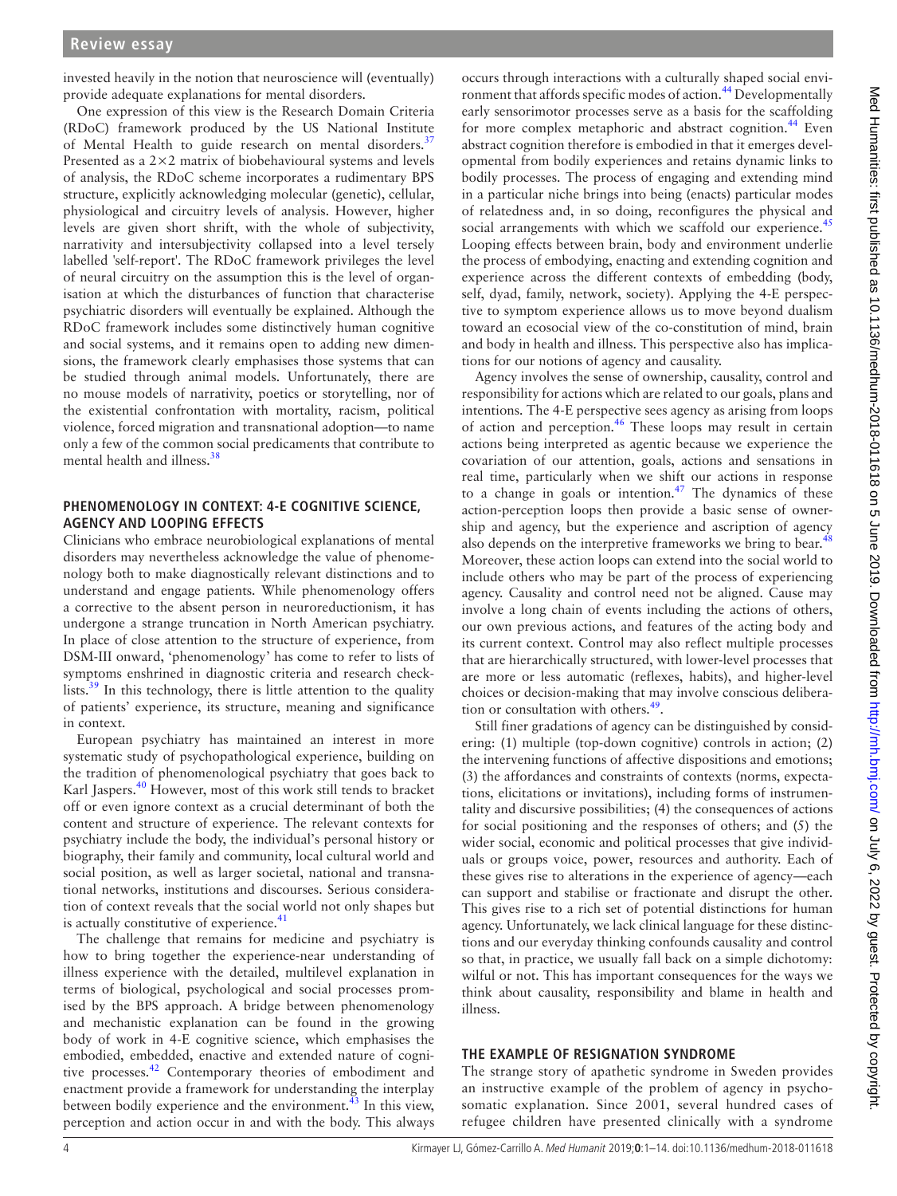invested heavily in the notion that neuroscience will (eventually) provide adequate explanations for mental disorders.

One expression of this view is the Research Domain Criteria (RDoC) framework produced by the US National Institute of Mental Health to guide research on mental disorders.<sup>[37](#page-10-4)</sup> Presented as a 2×2 matrix of biobehavioural systems and levels of analysis, the RDoC scheme incorporates a rudimentary BPS structure, explicitly acknowledging molecular (genetic), cellular, physiological and circuitry levels of analysis. However, higher levels are given short shrift, with the whole of subjectivity, narrativity and intersubjectivity collapsed into a level tersely labelled 'self-report'. The RDoC framework privileges the level of neural circuitry on the assumption this is the level of organisation at which the disturbances of function that characterise psychiatric disorders will eventually be explained. Although the RDoC framework includes some distinctively human cognitive and social systems, and it remains open to adding new dimensions, the framework clearly emphasises those systems that can be studied through animal models. Unfortunately, there are no mouse models of narrativity, poetics or storytelling, nor of the existential confrontation with mortality, racism, political violence, forced migration and transnational adoption—to name only a few of the common social predicaments that contribute to mental health and illness.<sup>[38](#page-10-5)</sup>

## **Phenomenology in context: 4-E cognitive science, agency and looping effects**

Clinicians who embrace neurobiological explanations of mental disorders may nevertheless acknowledge the value of phenomenology both to make diagnostically relevant distinctions and to understand and engage patients. While phenomenology offers a corrective to the absent person in neuroreductionism, it has undergone a strange truncation in North American psychiatry. In place of close attention to the structure of experience, from DSM-III onward, 'phenomenology' has come to refer to lists of symptoms enshrined in diagnostic criteria and research checklists.<sup>39</sup> In this technology, there is little attention to the quality of patients' experience, its structure, meaning and significance in context.

European psychiatry has maintained an interest in more systematic study of psychopathological experience, building on the tradition of phenomenological psychiatry that goes back to Karl Jaspers.<sup>[40](#page-10-7)</sup> However, most of this work still tends to bracket off or even ignore context as a crucial determinant of both the content and structure of experience. The relevant contexts for psychiatry include the body, the individual's personal history or biography, their family and community, local cultural world and social position, as well as larger societal, national and transnational networks, institutions and discourses. Serious consideration of context reveals that the social world not only shapes but is actually constitutive of experience.<sup>41</sup>

The challenge that remains for medicine and psychiatry is how to bring together the experience-near understanding of illness experience with the detailed, multilevel explanation in terms of biological, psychological and social processes promised by the BPS approach. A bridge between phenomenology and mechanistic explanation can be found in the growing body of work in 4-E cognitive science, which emphasises the embodied, embedded, enactive and extended nature of cognitive processes.<sup>42</sup> Contemporary theories of embodiment and enactment provide a framework for understanding the interplay between bodily experience and the environment. $43$  In this view, perception and action occur in and with the body. This always

occurs through interactions with a culturally shaped social environment that affords specific modes of action.[44](#page-10-11) Developmentally early sensorimotor processes serve as a basis for the scaffolding for more complex metaphoric and abstract cognition.<sup>44</sup> Even abstract cognition therefore is embodied in that it emerges developmental from bodily experiences and retains dynamic links to bodily processes. The process of engaging and extending mind in a particular niche brings into being (enacts) particular modes of relatedness and, in so doing, reconfigures the physical and social arrangements with which we scaffold our experience.<sup>[45](#page-10-12)</sup> Looping effects between brain, body and environment underlie the process of embodying, enacting and extending cognition and experience across the different contexts of embedding (body, self, dyad, family, network, society). Applying the 4-E perspective to symptom experience allows us to move beyond dualism toward an ecosocial view of the co-constitution of mind, brain and body in health and illness. This perspective also has implications for our notions of agency and causality.

Agency involves the sense of ownership, causality, control and responsibility for actions which are related to our goals, plans and intentions. The 4-E perspective sees agency as arising from loops of action and perception.<sup>46</sup> These loops may result in certain actions being interpreted as agentic because we experience the covariation of our attention, goals, actions and sensations in real time, particularly when we shift our actions in response to a change in goals or intention.<sup>47</sup> The dynamics of these action-perception loops then provide a basic sense of ownership and agency, but the experience and ascription of agency also depends on the interpretive frameworks we bring to bear.<sup>[48](#page-10-15)</sup> Moreover, these action loops can extend into the social world to include others who may be part of the process of experiencing agency. Causality and control need not be aligned. Cause may involve a long chain of events including the actions of others, our own previous actions, and features of the acting body and its current context. Control may also reflect multiple processes that are hierarchically structured, with lower-level processes that are more or less automatic (reflexes, habits), and higher-level choices or decision-making that may involve conscious deliberation or consultation with others. $49$ .

Still finer gradations of agency can be distinguished by considering: (1) multiple (top-down cognitive) controls in action; (2) the intervening functions of affective dispositions and emotions; (3) the affordances and constraints of contexts (norms, expectations, elicitations or invitations), including forms of instrumentality and discursive possibilities; (4) the consequences of actions for social positioning and the responses of others; and (5) the wider social, economic and political processes that give individuals or groups voice, power, resources and authority. Each of these gives rise to alterations in the experience of agency—each can support and stabilise or fractionate and disrupt the other. This gives rise to a rich set of potential distinctions for human agency. Unfortunately, we lack clinical language for these distinctions and our everyday thinking confounds causality and control so that, in practice, we usually fall back on a simple dichotomy: wilful or not. This has important consequences for the ways we think about causality, responsibility and blame in health and illness.

## **The example of resignation syndrome**

The strange story of apathetic syndrome in Sweden provides an instructive example of the problem of agency in psychosomatic explanation. Since 2001, several hundred cases of refugee children have presented clinically with a syndrome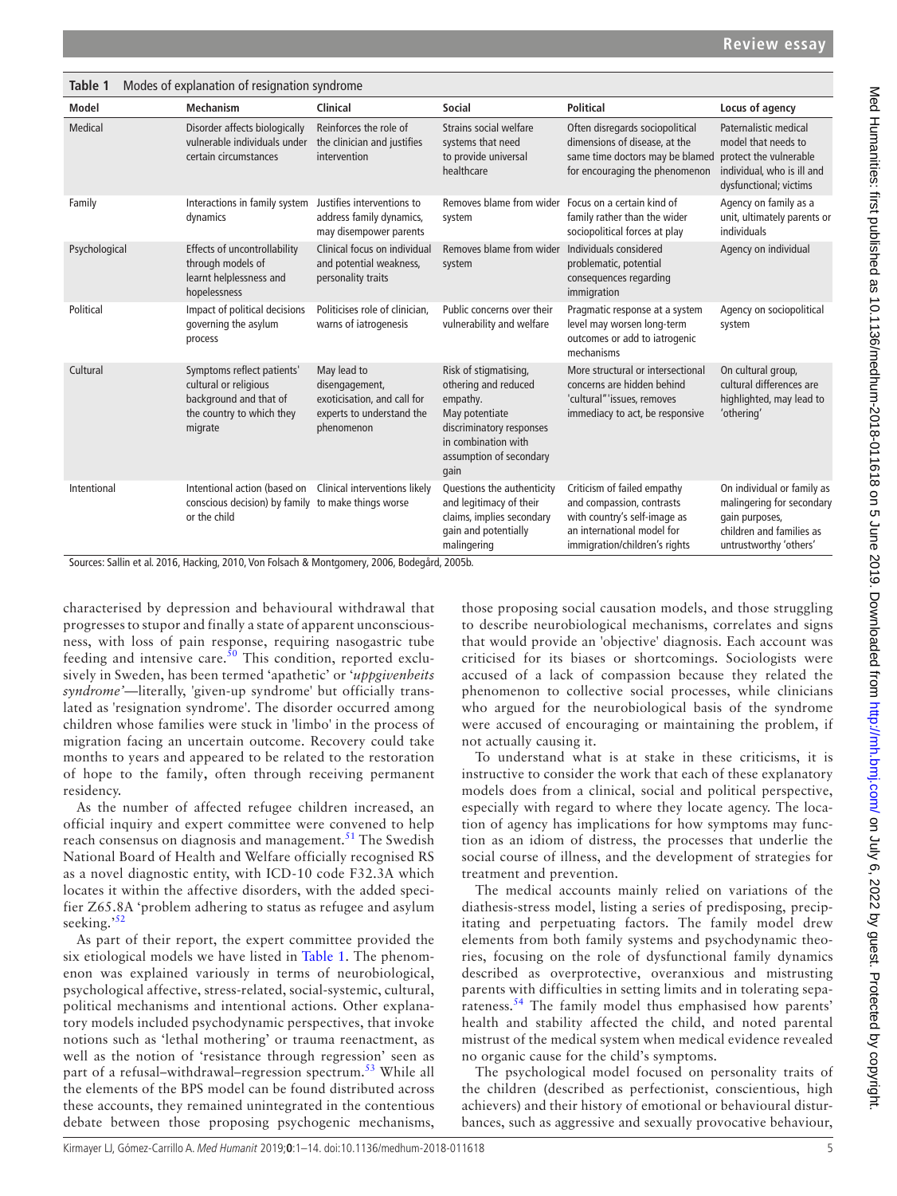<span id="page-4-0"></span>

| Table 1<br>Modes of explanation of resignation syndrome |                                                                                                                       |                                                                                                         |                                                                                                                                                                   |                                                                                                                                                         |                                                                                                                                 |
|---------------------------------------------------------|-----------------------------------------------------------------------------------------------------------------------|---------------------------------------------------------------------------------------------------------|-------------------------------------------------------------------------------------------------------------------------------------------------------------------|---------------------------------------------------------------------------------------------------------------------------------------------------------|---------------------------------------------------------------------------------------------------------------------------------|
| Model                                                   | <b>Mechanism</b>                                                                                                      | Clinical                                                                                                | <b>Social</b>                                                                                                                                                     | <b>Political</b>                                                                                                                                        | Locus of agency                                                                                                                 |
| Medical                                                 | Disorder affects biologically<br>vulnerable individuals under<br>certain circumstances                                | Reinforces the role of<br>the clinician and justifies<br>intervention                                   | Strains social welfare<br>systems that need<br>to provide universal<br>healthcare                                                                                 | Often disregards sociopolitical<br>dimensions of disease, at the<br>same time doctors may be blamed<br>for encouraging the phenomenon                   | Paternalistic medical<br>model that needs to<br>protect the vulnerable<br>individual, who is ill and<br>dysfunctional; victims  |
| Family                                                  | Interactions in family system<br>dynamics                                                                             | Justifies interventions to<br>address family dynamics,<br>may disempower parents                        | Removes blame from wider Focus on a certain kind of<br>system                                                                                                     | family rather than the wider<br>sociopolitical forces at play                                                                                           | Agency on family as a<br>unit, ultimately parents or<br>individuals                                                             |
| Psychological                                           | <b>Effects of uncontrollability</b><br>through models of<br>learnt helplessness and<br>hopelessness                   | Clinical focus on individual<br>and potential weakness,<br>personality traits                           | Removes blame from wider<br>system                                                                                                                                | Individuals considered<br>problematic, potential<br>consequences regarding<br>immigration                                                               | Agency on individual                                                                                                            |
| Political                                               | Impact of political decisions<br>governing the asylum<br>process                                                      | Politicises role of clinician,<br>warns of iatrogenesis                                                 | Public concerns over their<br>vulnerability and welfare                                                                                                           | Pragmatic response at a system<br>level may worsen long-term<br>outcomes or add to iatrogenic<br>mechanisms                                             | Agency on sociopolitical<br>system                                                                                              |
| Cultural                                                | Symptoms reflect patients'<br>cultural or religious<br>background and that of<br>the country to which they<br>migrate | May lead to<br>disengagement,<br>exoticisation, and call for<br>experts to understand the<br>phenomenon | Risk of stigmatising,<br>othering and reduced<br>empathy.<br>May potentiate<br>discriminatory responses<br>in combination with<br>assumption of secondary<br>qain | More structural or intersectional<br>concerns are hidden behind<br>'cultural" 'issues, removes<br>immediacy to act, be responsive                       | On cultural group,<br>cultural differences are<br>highlighted, may lead to<br>'othering'                                        |
| Intentional                                             | Intentional action (based on<br>conscious decision) by family to make things worse<br>or the child                    | Clinical interventions likely                                                                           | Questions the authenticity<br>and legitimacy of their<br>claims, implies secondary<br>gain and potentially<br>malingering                                         | Criticism of failed empathy<br>and compassion, contrasts<br>with country's self-image as<br>an international model for<br>immigration/children's rights | On individual or family as<br>malingering for secondary<br>gain purposes,<br>children and families as<br>untrustworthy 'others' |

Sources: Sallin et al. 2016, Hacking, 2010, Von Folsach & Montgomery, 2006, Bodegård, 2005b.

characterised by depression and behavioural withdrawal that progresses to stupor and finally a state of apparent unconsciousness, with loss of pain response, requiring nasogastric tube feeding and intensive care. $\frac{50}{10}$  This condition, reported exclusively in Sweden, has been termed 'apathetic' or '*uppgivenheits syndrome'*—literally, 'given-up syndrome' but officially translated as 'resignation syndrome'. The disorder occurred among children whose families were stuck in 'limbo' in the process of migration facing an uncertain outcome. Recovery could take months to years and appeared to be related to the restoration of hope to the family**,** often through receiving permanent residency.

As the number of affected refugee children increased, an official inquiry and expert committee were convened to help reach consensus on diagnosis and management.<sup>[51](#page-10-18)</sup> The Swedish National Board of Health and Welfare officially recognised RS as a novel diagnostic entity, with ICD-10 code F32.3A which locates it within the affective disorders, with the added specifier Z65.8A 'problem adhering to status as refugee and asylum seeking.'<sup>[52](#page-10-19)</sup>

As part of their report, the expert committee provided the six etiological models we have listed in [Table](#page-4-0) 1. The phenomenon was explained variously in terms of neurobiological, psychological affective, stress-related, social-systemic, cultural, political mechanisms and intentional actions. Other explanatory models included psychodynamic perspectives, that invoke notions such as 'lethal mothering' or trauma reenactment, as well as the notion of 'resistance through regression' seen as part of a refusal–withdrawal–regression spectrum.<sup>[53](#page-10-20)</sup> While all the elements of the BPS model can be found distributed across these accounts, they remained unintegrated in the contentious debate between those proposing psychogenic mechanisms,

those proposing social causation models, and those struggling to describe neurobiological mechanisms, correlates and signs that would provide an 'objective' diagnosis. Each account was criticised for its biases or shortcomings. Sociologists were accused of a lack of compassion because they related the phenomenon to collective social processes, while clinicians who argued for the neurobiological basis of the syndrome were accused of encouraging or maintaining the problem, if not actually causing it.

To understand what is at stake in these criticisms, it is instructive to consider the work that each of these explanatory models does from a clinical, social and political perspective, especially with regard to where they locate agency. The location of agency has implications for how symptoms may function as an idiom of distress, the processes that underlie the social course of illness, and the development of strategies for treatment and prevention.

The medical accounts mainly relied on variations of the diathesis-stress model, listing a series of predisposing, precipitating and perpetuating factors. The family model drew elements from both family systems and psychodynamic theories, focusing on the role of dysfunctional family dynamics described as overprotective, overanxious and mistrusting parents with difficulties in setting limits and in tolerating separateness.<sup>54</sup> The family model thus emphasised how parents' health and stability affected the child, and noted parental mistrust of the medical system when medical evidence revealed no organic cause for the child's symptoms.

The psychological model focused on personality traits of the children (described as perfectionist, conscientious, high achievers) and their history of emotional or behavioural disturbances, such as aggressive and sexually provocative behaviour,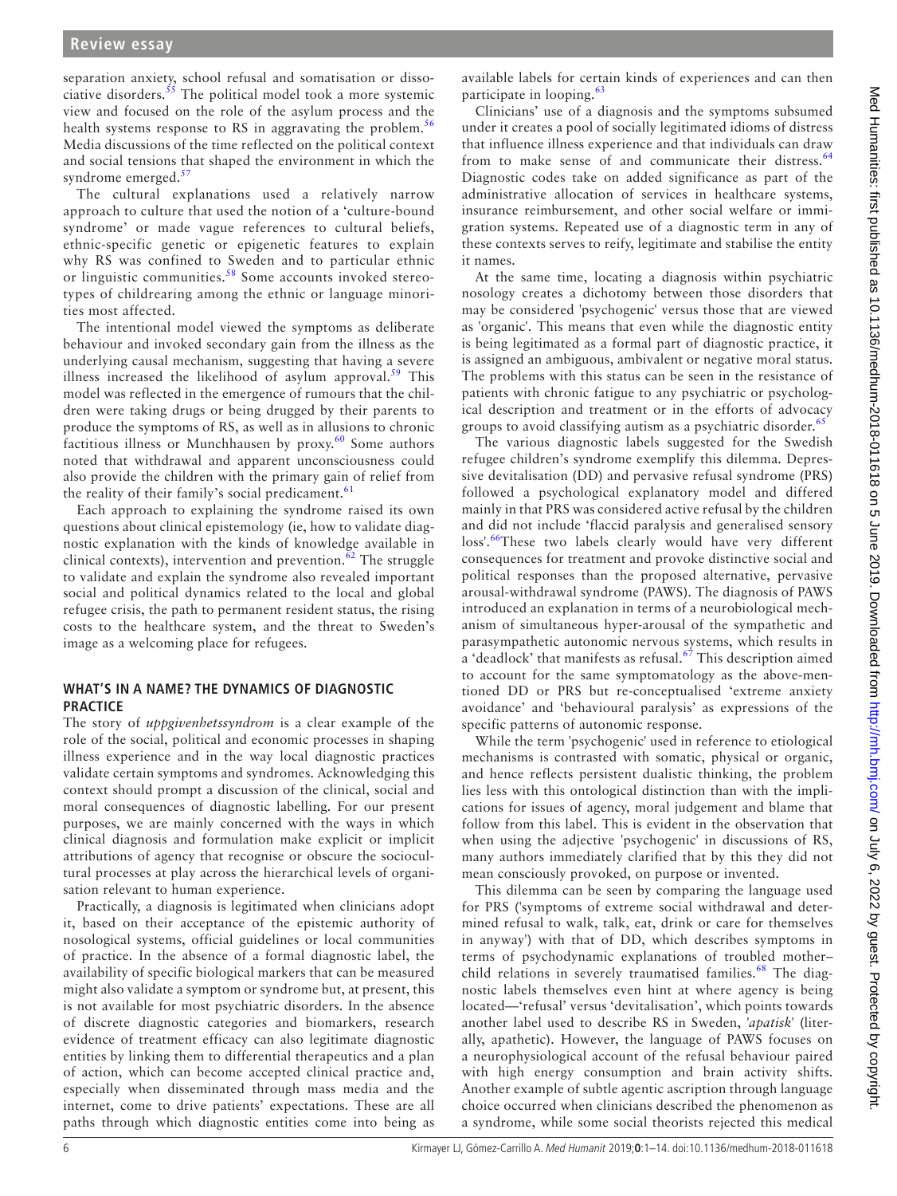separation anxiety, school refusal and somatisation or dissociative disorders.<sup>55</sup> The political model took a more systemic view and focused on the role of the asylum process and the health systems response to RS in aggravating the problem.<sup>[56](#page-10-23)</sup> Media discussions of the time reflected on the political context and social tensions that shaped the environment in which the syndrome emerged. $57$ 

The cultural explanations used a relatively narrow approach to culture that used the notion of a 'culture-bound syndrome' or made vague references to cultural beliefs, ethnic-specific genetic or epigenetic features to explain why RS was confined to Sweden and to particular ethnic or linguistic communities.<sup>[58](#page-10-25)</sup> Some accounts invoked stereotypes of childrearing among the ethnic or language minorities most affected.

The intentional model viewed the symptoms as deliberate behaviour and invoked secondary gain from the illness as the underlying causal mechanism, suggesting that having a severe illness increased the likelihood of asylum approval.<sup>[59](#page-10-26)</sup> This model was reflected in the emergence of rumours that the children were taking drugs or being drugged by their parents to produce the symptoms of RS, as well as in allusions to chronic factitious illness or Munchhausen by proxy.<sup>[60](#page-10-27)</sup> Some authors noted that withdrawal and apparent unconsciousness could also provide the children with the primary gain of relief from the reality of their family's social predicament. $61$ 

Each approach to explaining the syndrome raised its own questions about clinical epistemology (ie, how to validate diagnostic explanation with the kinds of knowledge available in clinical contexts), intervention and prevention. $62$  The struggle to validate and explain the syndrome also revealed important social and political dynamics related to the local and global refugee crisis, the path to permanent resident status, the rising costs to the healthcare system, and the threat to Sweden's image as a welcoming place for refugees.

## **What's in a name? The dynamics of diagnostic practice**

The story of *uppgivenhetssyndrom* is a clear example of the role of the social, political and economic processes in shaping illness experience and in the way local diagnostic practices validate certain symptoms and syndromes. Acknowledging this context should prompt a discussion of the clinical, social and moral consequences of diagnostic labelling. For our present purposes, we are mainly concerned with the ways in which clinical diagnosis and formulation make explicit or implicit attributions of agency that recognise or obscure the sociocultural processes at play across the hierarchical levels of organisation relevant to human experience.

Practically, a diagnosis is legitimated when clinicians adopt it, based on their acceptance of the epistemic authority of nosological systems, official guidelines or local communities of practice. In the absence of a formal diagnostic label, the availability of specific biological markers that can be measured might also validate a symptom or syndrome but, at present, this is not available for most psychiatric disorders. In the absence of discrete diagnostic categories and biomarkers, research evidence of treatment efficacy can also legitimate diagnostic entities by linking them to differential therapeutics and a plan of action, which can become accepted clinical practice and, especially when disseminated through mass media and the internet, come to drive patients' expectations. These are all paths through which diagnostic entities come into being as

available labels for certain kinds of experiences and can then participate in looping.<sup>[63](#page-10-30)</sup>

Clinicians' use of a diagnosis and the symptoms subsumed under it creates a pool of socially legitimated idioms of distress that influence illness experience and that individuals can draw from to make sense of and communicate their distress.<sup>[64](#page-10-31)</sup> Diagnostic codes take on added significance as part of the administrative allocation of services in healthcare systems, insurance reimbursement, and other social welfare or immigration systems. Repeated use of a diagnostic term in any of these contexts serves to reify, legitimate and stabilise the entity it names.

At the same time, locating a diagnosis within psychiatric nosology creates a dichotomy between those disorders that may be considered 'psychogenic' versus those that are viewed as 'organic'. This means that even while the diagnostic entity is being legitimated as a formal part of diagnostic practice, it is assigned an ambiguous, ambivalent or negative moral status. The problems with this status can be seen in the resistance of patients with chronic fatigue to any psychiatric or psychological description and treatment or in the efforts of advocacy groups to avoid classifying autism as a psychiatric disorder.<sup>[65](#page-10-32)</sup>

The various diagnostic labels suggested for the Swedish refugee children's syndrome exemplify this dilemma. Depressive devitalisation (DD) and pervasive refusal syndrome (PRS) followed a psychological explanatory model and differed mainly in that PRS was considered active refusal by the children and did not include 'flaccid paralysis and generalised sensory loss'.<sup>66</sup>These two labels clearly would have very different consequences for treatment and provoke distinctive social and political responses than the proposed alternative, pervasive arousal-withdrawal syndrome (PAWS). The diagnosis of PAWS introduced an explanation in terms of a neurobiological mechanism of simultaneous hyper-arousal of the sympathetic and parasympathetic autonomic nervous systems, which results in a 'deadlock' that manifests as refusal.<sup>67</sup> This description aimed to account for the same symptomatology as the above-mentioned DD or PRS but re-conceptualised 'extreme anxiety avoidance' and 'behavioural paralysis' as expressions of the specific patterns of autonomic response.

While the term 'psychogenic' used in reference to etiological mechanisms is contrasted with somatic, physical or organic, and hence reflects persistent dualistic thinking, the problem lies less with this ontological distinction than with the implications for issues of agency, moral judgement and blame that follow from this label. This is evident in the observation that when using the adjective 'psychogenic' in discussions of RS, many authors immediately clarified that by this they did not mean consciously provoked, on purpose or invented.

This dilemma can be seen by comparing the language used for PRS ('symptoms of extreme social withdrawal and determined refusal to walk, talk, eat, drink or care for themselves in anyway') with that of DD, which describes symptoms in terms of psychodynamic explanations of troubled mother– child relations in severely traumatised families.<sup>[68](#page-11-0)</sup> The diagnostic labels themselves even hint at where agency is being located—'refusal' versus 'devitalisation', which points towards another label used to describe RS in Sweden, '*apatisk*' (literally, apathetic). However, the language of PAWS focuses on a neurophysiological account of the refusal behaviour paired with high energy consumption and brain activity shifts. Another example of subtle agentic ascription through language choice occurred when clinicians described the phenomenon as a syndrome, while some social theorists rejected this medical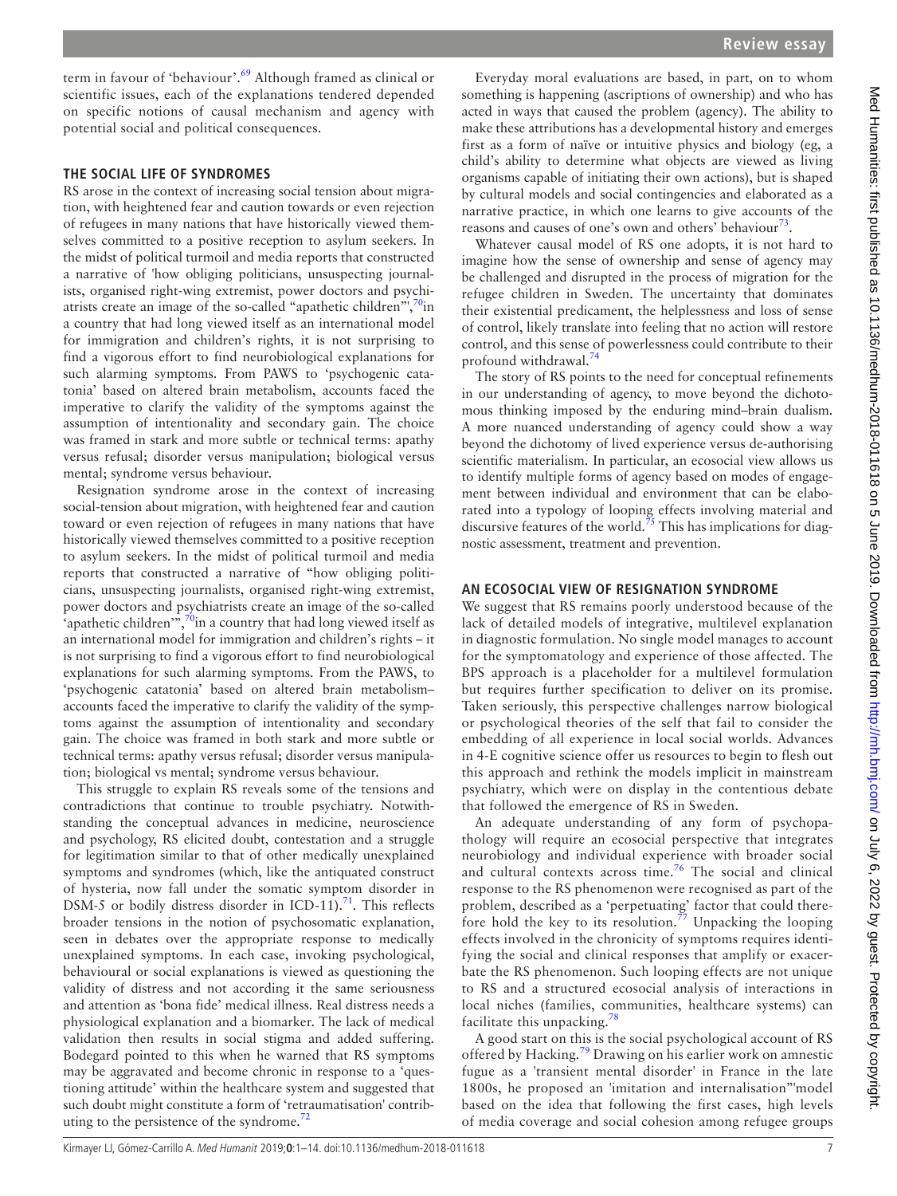term in favour of 'behaviour'.<sup>69</sup> Although framed as clinical or scientific issues, each of the explanations tendered depended on specific notions of causal mechanism and agency with potential social and political consequences.

## **The social life of syndromes**

RS arose in the context of increasing social tension about migration, with heightened fear and caution towards or even rejection of refugees in many nations that have historically viewed themselves committed to a positive reception to asylum seekers. In the midst of political turmoil and media reports that constructed a narrative of 'how obliging politicians, unsuspecting journalists, organised right-wing extremist, power doctors and psychiatrists create an image of the so-called "apathetic children", $\frac{70}{10}$ in a country that had long viewed itself as an international model for immigration and children's rights, it is not surprising to find a vigorous effort to find neurobiological explanations for such alarming symptoms. From PAWS to 'psychogenic catatonia' based on altered brain metabolism, accounts faced the imperative to clarify the validity of the symptoms against the assumption of intentionality and secondary gain. The choice was framed in stark and more subtle or technical terms: apathy versus refusal; disorder versus manipulation; biological versus mental; syndrome versus behaviour.

Resignation syndrome arose in the context of increasing social-tension about migration, with heightened fear and caution toward or even rejection of refugees in many nations that have historically viewed themselves committed to a positive reception to asylum seekers. In the midst of political turmoil and media reports that constructed a narrative of "how obliging politicians, unsuspecting journalists, organised right-wing extremist, power doctors and psychiatrists create an image of the so-called 'apathetic children'", $\frac{70}{10}$  a country that had long viewed itself as an international model for immigration and children's rights – it is not surprising to find a vigorous effort to find neurobiological explanations for such alarming symptoms. From the PAWS, to 'psychogenic catatonia' based on altered brain metabolism– accounts faced the imperative to clarify the validity of the symptoms against the assumption of intentionality and secondary gain. The choice was framed in both stark and more subtle or technical terms: apathy versus refusal; disorder versus manipulation; biological vs mental; syndrome versus behaviour.

This struggle to explain RS reveals some of the tensions and contradictions that continue to trouble psychiatry. Notwithstanding the conceptual advances in medicine, neuroscience and psychology, RS elicited doubt, contestation and a struggle for legitimation similar to that of other medically unexplained symptoms and syndromes (which, like the antiquated construct of hysteria, now fall under the somatic symptom disorder in DSM-5 or bodily distress disorder in ICD-11).<sup>[71](#page-11-3)</sup>. This reflects broader tensions in the notion of psychosomatic explanation, seen in debates over the appropriate response to medically unexplained symptoms. In each case, invoking psychological, behavioural or social explanations is viewed as questioning the validity of distress and not according it the same seriousness and attention as 'bona fide' medical illness. Real distress needs a physiological explanation and a biomarker. The lack of medical validation then results in social stigma and added suffering. Bodegard pointed to this when he warned that RS symptoms may be aggravated and become chronic in response to a 'questioning attitude' within the healthcare system and suggested that such doubt might constitute a form of 'retraumatisation' contributing to the persistence of the syndrome. $^{72}$  $^{72}$  $^{72}$ 

Everyday moral evaluations are based, in part, on to whom something is happening (ascriptions of ownership) and who has acted in ways that caused the problem (agency). The ability to make these attributions has a developmental history and emerges first as a form of naïve or intuitive physics and biology (eg, a child's ability to determine what objects are viewed as living organisms capable of initiating their own actions), but is shaped by cultural models and social contingencies and elaborated as a narrative practice, in which one learns to give accounts of the reasons and causes of one's own and others' behaviour<sup>73</sup>.

Whatever causal model of RS one adopts, it is not hard to imagine how the sense of ownership and sense of agency may be challenged and disrupted in the process of migration for the refugee children in Sweden. The uncertainty that dominates their existential predicament, the helplessness and loss of sense of control, likely translate into feeling that no action will restore control, and this sense of powerlessness could contribute to their profound withdrawal.<sup>[74](#page-11-6)</sup>

The story of RS points to the need for conceptual refinements in our understanding of agency, to move beyond the dichotomous thinking imposed by the enduring mind–brain dualism. A more nuanced understanding of agency could show a way beyond the dichotomy of lived experience versus de-authorising scientific materialism. In particular, an ecosocial view allows us to identify multiple forms of agency based on modes of engagement between individual and environment that can be elaborated into a typology of looping effects involving material and discursive features of the world.<sup>[75](#page-11-7)</sup> This has implications for diagnostic assessment, treatment and prevention.

#### **An ecosocial view of resignation syndrome**

We suggest that RS remains poorly understood because of the lack of detailed models of integrative, multilevel explanation in diagnostic formulation. No single model manages to account for the symptomatology and experience of those affected. The BPS approach is a placeholder for a multilevel formulation but requires further specification to deliver on its promise. Taken seriously, this perspective challenges narrow biological or psychological theories of the self that fail to consider the embedding of all experience in local social worlds. Advances in 4-E cognitive science offer us resources to begin to flesh out this approach and rethink the models implicit in mainstream psychiatry, which were on display in the contentious debate that followed the emergence of RS in Sweden.

An adequate understanding of any form of psychopathology will require an ecosocial perspective that integrates neurobiology and individual experience with broader social and cultural contexts across time.<sup>76</sup> The social and clinical response to the RS phenomenon were recognised as part of the problem, described as a 'perpetuating' factor that could therefore hold the key to its resolution.<sup>77</sup> Unpacking the looping effects involved in the chronicity of symptoms requires identifying the social and clinical responses that amplify or exacerbate the RS phenomenon. Such looping effects are not unique to RS and a structured ecosocial analysis of interactions in local niches (families, communities, healthcare systems) can facilitate this unpacking.<sup>7</sup>

A good start on this is the social psychological account of RS offered by Hacking.<sup>79</sup> Drawing on his earlier work on amnestic fugue as a 'transient mental disorder' in France in the late 1800s, he proposed an 'imitation and internalisation"'model based on the idea that following the first cases, high levels of media coverage and social cohesion among refugee groups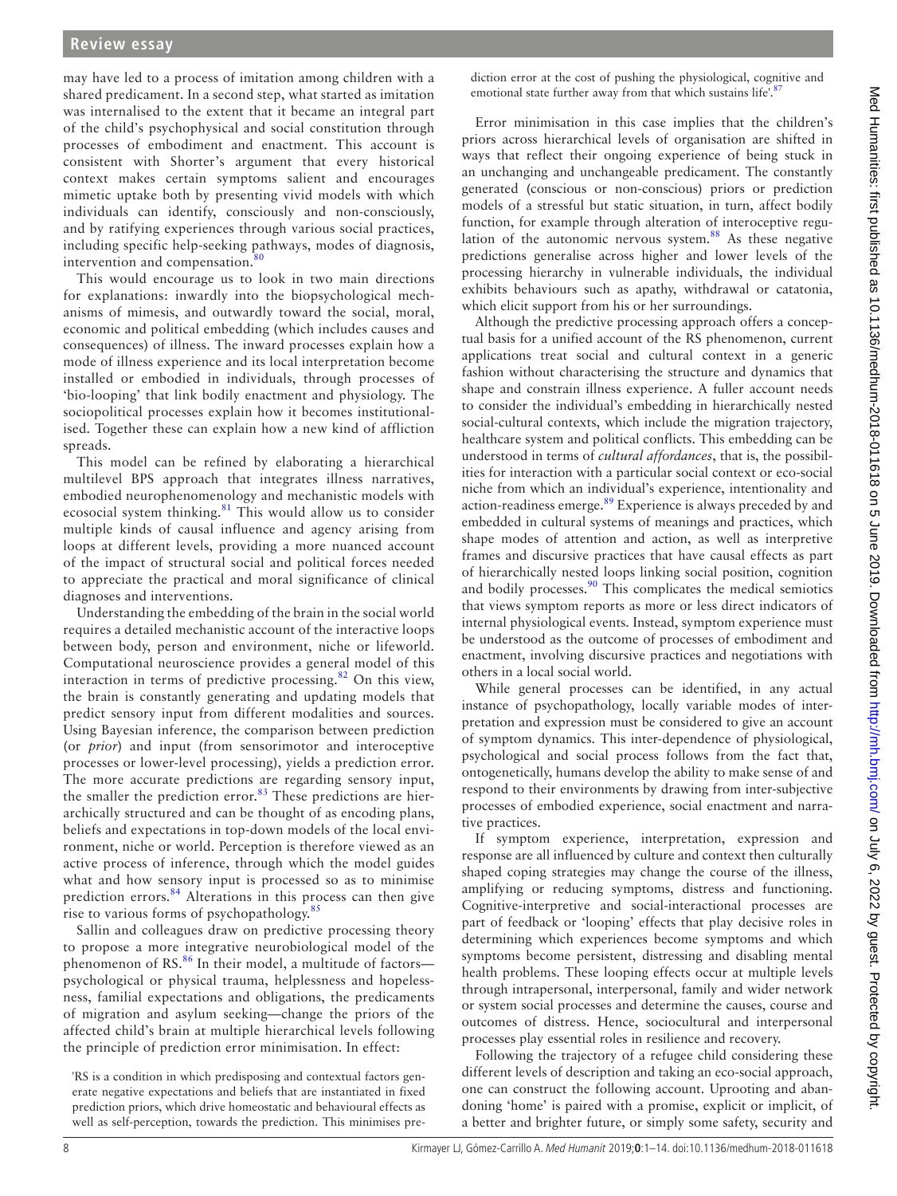may have led to a process of imitation among children with a shared predicament. In a second step, what started as imitation was internalised to the extent that it became an integral part of the child's psychophysical and social constitution through processes of embodiment and enactment. This account is consistent with Shorter's argument that every historical context makes certain symptoms salient and encourages mimetic uptake both by presenting vivid models with which individuals can identify, consciously and non-consciously, and by ratifying experiences through various social practices, including specific help-seeking pathways, modes of diagnosis, intervention and compensation.<sup>[80](#page-11-12)</sup>

This would encourage us to look in two main directions for explanations: inwardly into the biopsychological mechanisms of mimesis, and outwardly toward the social, moral, economic and political embedding (which includes causes and consequences) of illness. The inward processes explain how a mode of illness experience and its local interpretation become installed or embodied in individuals, through processes of 'bio-looping' that link bodily enactment and physiology. The sociopolitical processes explain how it becomes institutionalised. Together these can explain how a new kind of affliction spreads.

This model can be refined by elaborating a hierarchical multilevel BPS approach that integrates illness narratives, embodied neurophenomenology and mechanistic models with ecosocial system thinking.<sup>81</sup> This would allow us to consider multiple kinds of causal influence and agency arising from loops at different levels, providing a more nuanced account of the impact of structural social and political forces needed to appreciate the practical and moral significance of clinical diagnoses and interventions.

Understanding the embedding of the brain in the social world requires a detailed mechanistic account of the interactive loops between body, person and environment, niche or lifeworld. Computational neuroscience provides a general model of this interaction in terms of predictive processing.[82](#page-11-14) On this view, the brain is constantly generating and updating models that predict sensory input from different modalities and sources. Using Bayesian inference, the comparison between prediction (or *prior*) and input (from sensorimotor and interoceptive processes or lower-level processing), yields a prediction error. The more accurate predictions are regarding sensory input, the smaller the prediction error.<sup>[83](#page-11-15)</sup> These predictions are hierarchically structured and can be thought of as encoding plans, beliefs and expectations in top-down models of the local environment, niche or world. Perception is therefore viewed as an active process of inference, through which the model guides what and how sensory input is processed so as to minimise prediction errors.<sup>[84](#page-11-16)</sup> Alterations in this process can then give rise to various forms of psychopathology.<sup>[85](#page-11-17)</sup>

Sallin and colleagues draw on predictive processing theory to propose a more integrative neurobiological model of the phenomenon of RS.<sup>[86](#page-11-18)</sup> In their model, a multitude of factorspsychological or physical trauma, helplessness and hopelessness, familial expectations and obligations, the predicaments of migration and asylum seeking—change the priors of the affected child's brain at multiple hierarchical levels following the principle of prediction error minimisation. In effect:

'RS is a condition in which predisposing and contextual factors generate negative expectations and beliefs that are instantiated in fixed prediction priors, which drive homeostatic and behavioural effects as well as self-perception, towards the prediction. This minimises prediction error at the cost of pushing the physiological, cognitive and emotional state further away from that which sustains life'.<sup>8</sup>

Error minimisation in this case implies that the children's priors across hierarchical levels of organisation are shifted in ways that reflect their ongoing experience of being stuck in an unchanging and unchangeable predicament. The constantly generated (conscious or non-conscious) priors or prediction models of a stressful but static situation, in turn, affect bodily function, for example through alteration of interoceptive regu-lation of the autonomic nervous system.<sup>[88](#page-11-20)</sup> As these negative predictions generalise across higher and lower levels of the processing hierarchy in vulnerable individuals, the individual exhibits behaviours such as apathy, withdrawal or catatonia, which elicit support from his or her surroundings.

Although the predictive processing approach offers a conceptual basis for a unified account of the RS phenomenon, current applications treat social and cultural context in a generic fashion without characterising the structure and dynamics that shape and constrain illness experience. A fuller account needs to consider the individual's embedding in hierarchically nested social-cultural contexts, which include the migration trajectory, healthcare system and political conflicts. This embedding can be understood in terms of *cultural affordances*, that is, the possibilities for interaction with a particular social context or eco-social niche from which an individual's experience, intentionality and action-readiness emerge.<sup>89</sup> Experience is always preceded by and embedded in cultural systems of meanings and practices, which shape modes of attention and action, as well as interpretive frames and discursive practices that have causal effects as part of hierarchically nested loops linking social position, cognition and bodily processes.<sup>90</sup> This complicates the medical semiotics that views symptom reports as more or less direct indicators of internal physiological events. Instead, symptom experience must be understood as the outcome of processes of embodiment and enactment, involving discursive practices and negotiations with others in a local social world.

While general processes can be identified, in any actual instance of psychopathology, locally variable modes of interpretation and expression must be considered to give an account of symptom dynamics. This inter-dependence of physiological, psychological and social process follows from the fact that, ontogenetically, humans develop the ability to make sense of and respond to their environments by drawing from inter-subjective processes of embodied experience, social enactment and narrative practices.

If symptom experience, interpretation, expression and response are all influenced by culture and context then culturally shaped coping strategies may change the course of the illness, amplifying or reducing symptoms, distress and functioning. Cognitive-interpretive and social-interactional processes are part of feedback or 'looping' effects that play decisive roles in determining which experiences become symptoms and which symptoms become persistent, distressing and disabling mental health problems. These looping effects occur at multiple levels through intrapersonal, interpersonal, family and wider network or system social processes and determine the causes, course and outcomes of distress. Hence, sociocultural and interpersonal processes play essential roles in resilience and recovery.

Following the trajectory of a refugee child considering these different levels of description and taking an eco-social approach, one can construct the following account. Uprooting and abandoning 'home' is paired with a promise, explicit or implicit, of a better and brighter future, or simply some safety, security and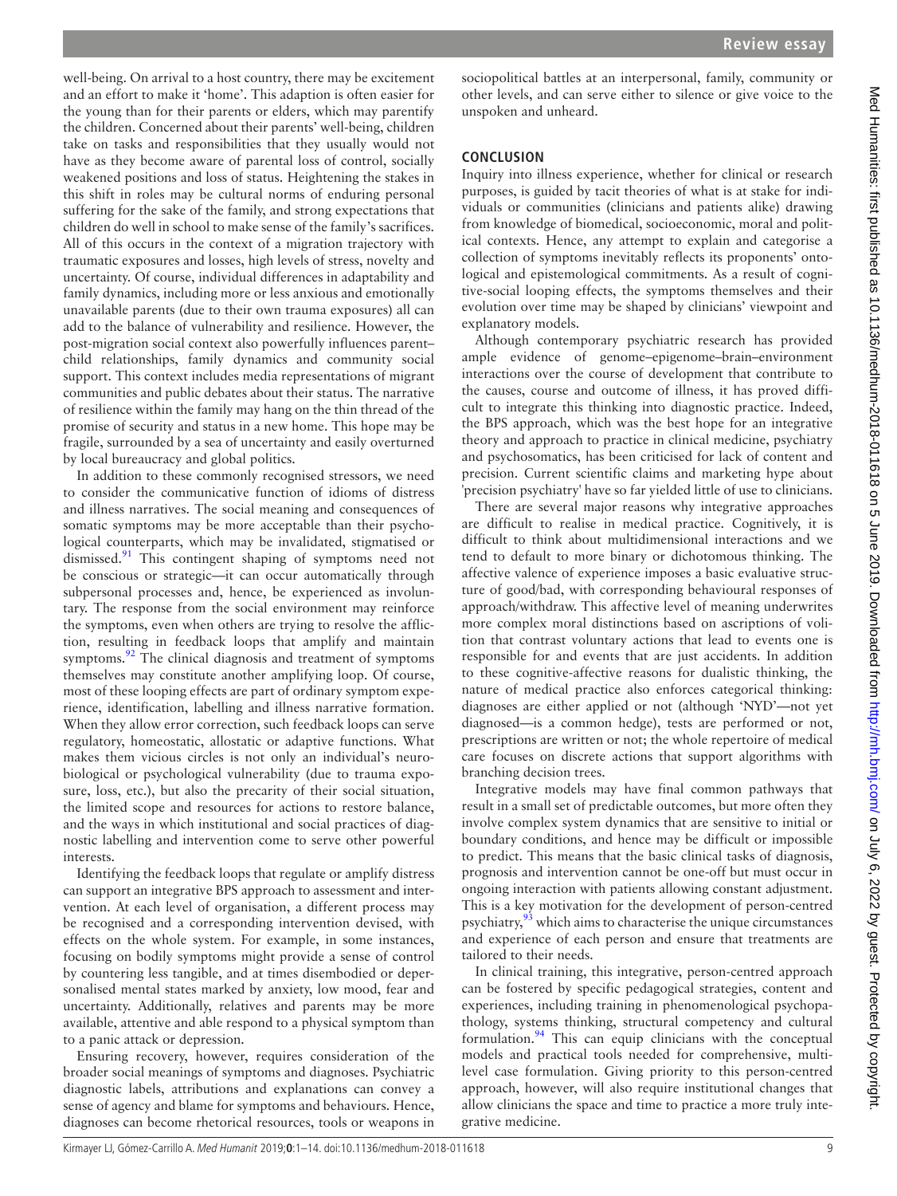well-being. On arrival to a host country, there may be excitement and an effort to make it 'home'. This adaption is often easier for the young than for their parents or elders, which may parentify the children. Concerned about their parents' well-being, children take on tasks and responsibilities that they usually would not have as they become aware of parental loss of control, socially weakened positions and loss of status. Heightening the stakes in this shift in roles may be cultural norms of enduring personal suffering for the sake of the family, and strong expectations that children do well in school to make sense of the family's sacrifices. All of this occurs in the context of a migration trajectory with traumatic exposures and losses, high levels of stress, novelty and uncertainty. Of course, individual differences in adaptability and family dynamics, including more or less anxious and emotionally unavailable parents (due to their own trauma exposures) all can add to the balance of vulnerability and resilience. However, the post-migration social context also powerfully influences parent– child relationships, family dynamics and community social support. This context includes media representations of migrant communities and public debates about their status. The narrative of resilience within the family may hang on the thin thread of the promise of security and status in a new home. This hope may be fragile, surrounded by a sea of uncertainty and easily overturned by local bureaucracy and global politics.

In addition to these commonly recognised stressors, we need to consider the communicative function of idioms of distress and illness narratives. The social meaning and consequences of somatic symptoms may be more acceptable than their psychological counterparts, which may be invalidated, stigmatised or dismissed.<sup>91</sup> This contingent shaping of symptoms need not be conscious or strategic—it can occur automatically through subpersonal processes and, hence, be experienced as involuntary. The response from the social environment may reinforce the symptoms, even when others are trying to resolve the affliction, resulting in feedback loops that amplify and maintain symptoms.<sup>[92](#page-11-24)</sup> The clinical diagnosis and treatment of symptoms themselves may constitute another amplifying loop. Of course, most of these looping effects are part of ordinary symptom experience, identification, labelling and illness narrative formation. When they allow error correction, such feedback loops can serve regulatory, homeostatic, allostatic or adaptive functions. What makes them vicious circles is not only an individual's neurobiological or psychological vulnerability (due to trauma exposure, loss, etc.), but also the precarity of their social situation, the limited scope and resources for actions to restore balance, and the ways in which institutional and social practices of diagnostic labelling and intervention come to serve other powerful interests.

Identifying the feedback loops that regulate or amplify distress can support an integrative BPS approach to assessment and intervention. At each level of organisation, a different process may be recognised and a corresponding intervention devised, with effects on the whole system. For example, in some instances, focusing on bodily symptoms might provide a sense of control by countering less tangible, and at times disembodied or depersonalised mental states marked by anxiety, low mood, fear and uncertainty. Additionally, relatives and parents may be more available, attentive and able respond to a physical symptom than to a panic attack or depression.

Ensuring recovery, however, requires consideration of the broader social meanings of symptoms and diagnoses. Psychiatric diagnostic labels, attributions and explanations can convey a sense of agency and blame for symptoms and behaviours. Hence, diagnoses can become rhetorical resources, tools or weapons in

sociopolitical battles at an interpersonal, family, community or other levels, and can serve either to silence or give voice to the unspoken and unheard.

#### **Conclusion**

Inquiry into illness experience, whether for clinical or research purposes, is guided by tacit theories of what is at stake for individuals or communities (clinicians and patients alike) drawing from knowledge of biomedical, socioeconomic, moral and political contexts. Hence, any attempt to explain and categorise a collection of symptoms inevitably reflects its proponents' ontological and epistemological commitments. As a result of cognitive-social looping effects, the symptoms themselves and their evolution over time may be shaped by clinicians' viewpoint and explanatory models.

Although contemporary psychiatric research has provided ample evidence of genome–epigenome–brain–environment interactions over the course of development that contribute to the causes, course and outcome of illness, it has proved difficult to integrate this thinking into diagnostic practice. Indeed, the BPS approach, which was the best hope for an integrative theory and approach to practice in clinical medicine, psychiatry and psychosomatics, has been criticised for lack of content and precision. Current scientific claims and marketing hype about 'precision psychiatry' have so far yielded little of use to clinicians.

There are several major reasons why integrative approaches are difficult to realise in medical practice. Cognitively, it is difficult to think about multidimensional interactions and we tend to default to more binary or dichotomous thinking. The affective valence of experience imposes a basic evaluative structure of good/bad, with corresponding behavioural responses of approach/withdraw. This affective level of meaning underwrites more complex moral distinctions based on ascriptions of volition that contrast voluntary actions that lead to events one is responsible for and events that are just accidents. In addition to these cognitive-affective reasons for dualistic thinking, the nature of medical practice also enforces categorical thinking: diagnoses are either applied or not (although 'NYD'—not yet diagnosed—is a common hedge), tests are performed or not, prescriptions are written or not; the whole repertoire of medical care focuses on discrete actions that support algorithms with branching decision trees.

Integrative models may have final common pathways that result in a small set of predictable outcomes, but more often they involve complex system dynamics that are sensitive to initial or boundary conditions, and hence may be difficult or impossible to predict. This means that the basic clinical tasks of diagnosis, prognosis and intervention cannot be one-off but must occur in ongoing interaction with patients allowing constant adjustment. This is a key motivation for the development of person-centred psychiatry,<sup>[93](#page-11-25)</sup> which aims to characterise the unique circumstances and experience of each person and ensure that treatments are tailored to their needs.

In clinical training, this integrative, person-centred approach can be fostered by specific pedagogical strategies, content and experiences, including training in phenomenological psychopathology, systems thinking, structural competency and cultural formulation.<sup>94</sup> This can equip clinicians with the conceptual models and practical tools needed for comprehensive, multilevel case formulation. Giving priority to this person-centred approach, however, will also require institutional changes that allow clinicians the space and time to practice a more truly integrative medicine.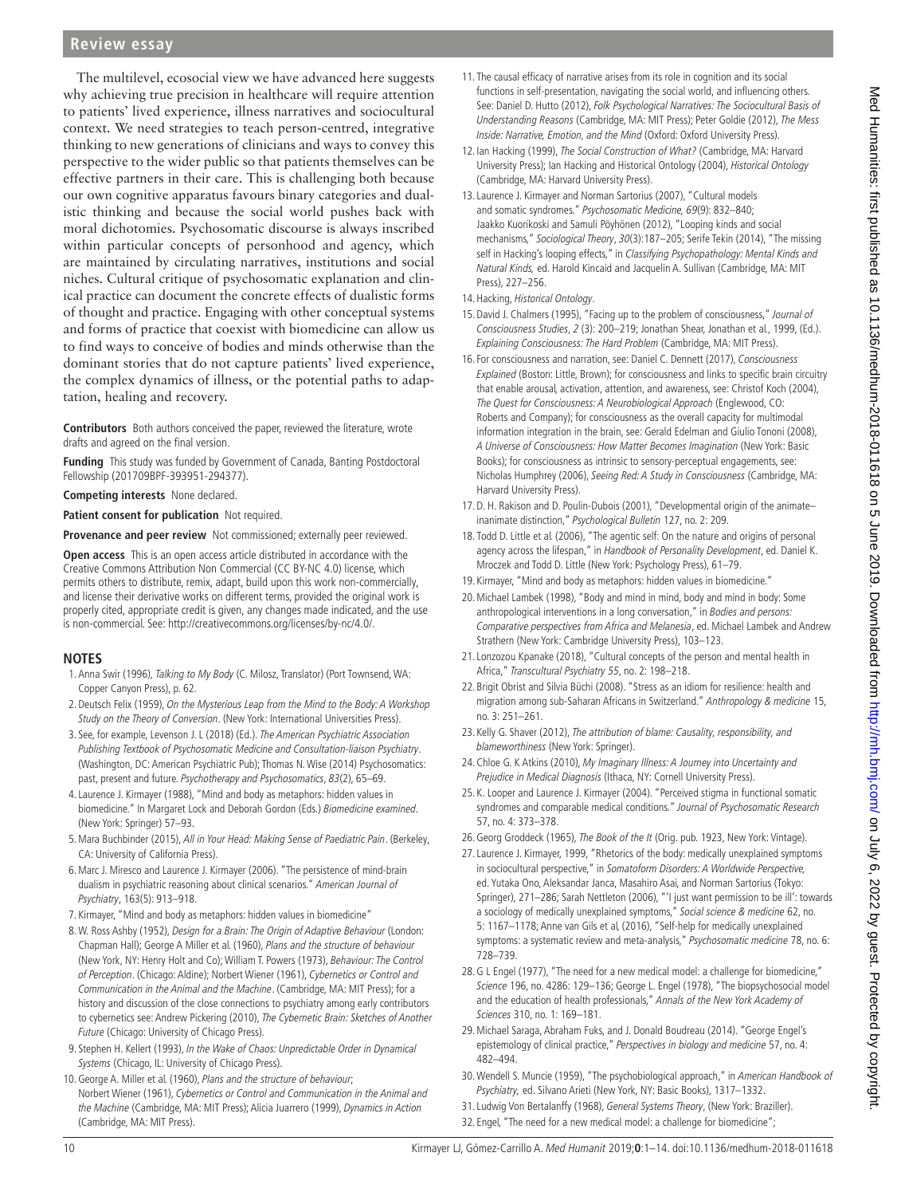The multilevel, ecosocial view we have advanced here suggests why achieving true precision in healthcare will require attention to patients' lived experience, illness narratives and sociocultural context. We need strategies to teach person-centred, integrative thinking to new generations of clinicians and ways to convey this perspective to the wider public so that patients themselves can be effective partners in their care. This is challenging both because our own cognitive apparatus favours binary categories and dualistic thinking and because the social world pushes back with moral dichotomies. Psychosomatic discourse is always inscribed within particular concepts of personhood and agency, which are maintained by circulating narratives, institutions and social niches. Cultural critique of psychosomatic explanation and clinical practice can document the concrete effects of dualistic forms of thought and practice. Engaging with other conceptual systems and forms of practice that coexist with biomedicine can allow us to find ways to conceive of bodies and minds otherwise than the dominant stories that do not capture patients' lived experience, the complex dynamics of illness, or the potential paths to adaptation, healing and recovery.

**Contributors** Both authors conceived the paper, reviewed the literature, wrote drafts and agreed on the final version.

**Funding** This study was funded by Government of Canada, Banting Postdoctoral Fellowship (201709BPF-393951-294377).

**Competing interests** None declared.

**Patient consent for publication** Not required.

**Provenance and peer review** Not commissioned; externally peer reviewed.

**Open access** This is an open access article distributed in accordance with the Creative Commons Attribution Non Commercial (CC BY-NC 4.0) license, which permits others to distribute, remix, adapt, build upon this work non-commercially, and license their derivative works on different terms, provided the original work is properly cited, appropriate credit is given, any changes made indicated, and the use is non-commercial. See: <http://creativecommons.org/licenses/by-nc/4.0/>.

#### **Notes**

- <span id="page-9-0"></span>1.[Anna Swir \(1996\),](#page-12-0) Talking to My Body (C. Milosz, Translator) (Port Townsend, WA: Copper Canyon Press), p. 62.
- <span id="page-9-1"></span>2.[Deutsch Felix \(1959\),](#page-11-27) On the Mysterious Leap from the Mind to the Body: A Workshop Study on the Theory of Conversion. (New York: International Universities Press).
- <span id="page-9-2"></span>3. See, for example, [Levenson J. L \(2018\)](#page-12-1) (Ed.). The American Psychiatric Association Publishing Textbook of Psychosomatic Medicine and Consultation-liaison Psychiatry. (Washington, DC: American Psychiatric Pub); [Thomas N. Wise \(2014\)](#page-13-0) Psychosomatics: past, present and future. Psychotherapy and Psychosomatics, 83(2), 65–69.
- <span id="page-9-3"></span>4.[Laurence J. Kirmayer \(1988\)](#page-12-2), "Mind and body as metaphors: hidden values in biomedicine." In Margaret Lock and Deborah Gordon (Eds.) Biomedicine examined. (New York: Springer) 57–93.
- <span id="page-9-4"></span>5. [Mara Buchbinder \(2015\),](#page-11-28) All in Your Head: Making Sense of Paediatric Pain. (Berkeley, CA: University of California Press).
- <span id="page-9-5"></span>6.[Marc J. Miresco and Laurence J. Kirmayer \(2006\)](#page-12-3). "The persistence of mind-brain dualism in psychiatric reasoning about clinical scenarios." American Journal of Psychiatry, 163(5): 913–918.
- <span id="page-9-6"></span>7. Kirmayer, "Mind and body as metaphors: hidden values in biomedicine"
- <span id="page-9-7"></span>8.[W. Ross Ashby \(1952\)](#page-11-29), Design for a Brain: The Origin of Adaptive Behaviour (London: Chapman Hall); [George A Miller et al. \(1960\)](#page-12-4), Plans and the structure of behaviour (New York, NY: Henry Holt and Co); [William T. Powers \(1973\)](#page-12-5), Behaviour: The Control of Perception. (Chicago: Aldine); [Norbert Wiener \(1961\)](#page-13-1), Cybernetics or Control and Communication in the Animal and the Machine. (Cambridge, MA: MIT Press); for a history and discussion of the close connections to psychiatry among early contributors to cybernetics see: [Andrew Pickering \(2010\),](#page-12-6) The Cybernetic Brain: Sketches of Another Future (Chicago: University of Chicago Press).
- <span id="page-9-8"></span>9. [Stephen H. Kellert \(1993\),](#page-12-7) In the Wake of Chaos: Unpredictable Order in Dynamical Systems (Chicago, IL: University of Chicago Press).
- <span id="page-9-9"></span>10.[George A. Miller et al. \(1960\),](#page-12-4) Plans and the structure of behaviour; [Norbert Wiener \(1961\),](#page-13-1) Cybernetics or Control and Communication in the Animal and the Machine (Cambridge, MA: MIT Press); [Alicia Juarrero \(1999\)](#page-12-8), Dynamics in Action (Cambridge, MA: MIT Press).
- <span id="page-9-10"></span>11. The causal efficacy of narrative arises from its role in cognition and its social functions in self-presentation, navigating the social world, and influencing others. See: [Daniel D. Hutto \(2012\)](#page-12-9), Folk Psychological Narratives: The Sociocultural Basis of Understanding Reasons (Cambridge, MA: MIT Press); [Peter Goldie \(2012\)](#page-11-30), The Mess Inside: Narrative, Emotion, and the Mind (Oxford: Oxford University Press).
- <span id="page-9-11"></span>12. [Ian Hacking \(1999\),](#page-11-31) The Social Construction of What? (Cambridge, MA: Harvard University Press); [Ian Hacking and Historical Ontology \(2004\)](#page-11-32), Historical Ontology (Cambridge, MA: Harvard University Press).
- <span id="page-9-12"></span>13.[Laurence J. Kirmayer and Norman Sartorius \(2007\),](#page-12-10) "Cultural models and somatic syndromes." Psychosomatic Medicine, 69(9): 832–840; [Jaakko Kuorikoski and Samuli Pöyhönen \(2012\)](#page-12-11), "Looping kinds and social mechanisms," Sociological Theory, 30(3):187–205; [Serife Tekin \(2014\)](#page-13-2), "The missing self in Hacking's looping effects," in Classifying Psychopathology: Mental Kinds and Natural Kinds, ed. Harold Kincaid and Jacquelin A. Sullivan (Cambridge, MA: MIT Press), 227–256.
- <span id="page-9-13"></span>14. Hacking, Historical Ontology.
- <span id="page-9-14"></span>15.[David J. Chalmers \(1995\),](#page-11-33) "Facing up to the problem of consciousness," Journal of Consciousness Studies, 2 (3): 200–219; [Jonathan Shear, Jonathan et al., 1999,](#page-12-12) (Ed.). Explaining Consciousness: The Hard Problem (Cambridge, MA: MIT Press).
- <span id="page-9-15"></span>16. For consciousness and narration, see: [Daniel C. Dennett \(2017\)](#page-11-34), Consciousness Explained (Boston: Little, Brown); for consciousness and links to specific brain circuitry that enable arousal, activation, attention, and awareness, see: [Christof Koch \(2004\)](#page-12-13), The Quest for Consciousness: A Neurobiological Approach (Englewood, CO: Roberts and Company); for consciousness as the overall capacity for multimodal information integration in the brain, see: [Gerald Edelman and Giulio Tononi \(2008\)](#page-11-35), A Universe of Consciousness: How Matter Becomes Imagination (New York: Basic Books); for consciousness as intrinsic to sensory-perceptual engagements, see: [Nicholas Humphrey \(2006\),](#page-12-14) Seeing Red: A Study in Consciousness (Cambridge, MA: Harvard University Press).
- <span id="page-9-16"></span>17.[D. H. Rakison and D. Poulin-Dubois \(2001\),](#page-12-15) "Developmental origin of the animate– inanimate distinction," Psychological Bulletin 127, no. 2: 209.
- <span id="page-9-17"></span>18. [Todd D. Little et al. \(2006\)](#page-12-16), "The agentic self: On the nature and origins of personal agency across the lifespan," in Handbook of Personality Development, ed. Daniel K. Mroczek and Todd D. Little (New York: Psychology Press), 61–79.
- <span id="page-9-18"></span>19. Kirmayer, "Mind and body as metaphors: hidden values in biomedicine."
- <span id="page-9-19"></span>20.[Michael Lambek \(1998\)](#page-12-17), "Body and mind in mind, body and mind in body: Some anthropological interventions in a long conversation," in Bodies and persons: Comparative perspectives from Africa and Melanesia, ed. Michael Lambek and Andrew Strathern (New York: Cambridge University Press), 103–123.
- <span id="page-9-20"></span>21.[Lonzozou Kpanake \(2018\),](#page-12-18) "Cultural concepts of the person and mental health in Africa," Transcultural Psychiatry 55, no. 2: 198–218.
- <span id="page-9-21"></span>22. [Brigit Obrist and Silvia Büchi \(2008\)](#page-12-19). "Stress as an idiom for resilience: health and migration among sub-Saharan Africans in Switzerland." Anthropology & medicine 15, no. 3: 251–261.
- <span id="page-9-22"></span>23. [Kelly G. Shaver \(2012\),](#page-12-20) The attribution of blame: Causality, responsibility, and blameworthiness (New York: Springer).
- <span id="page-9-23"></span>24. [Chloe G. K Atkins \(2010\),](#page-11-36) My Imaginary Illness: A Journey into Uncertainty and Prejudice in Medical Diagnosis (Ithaca, NY: Cornell University Press).
- <span id="page-9-24"></span>25. [K. Looper and Laurence J. Kirmayer \(2004\).](#page-12-21) "Perceived stigma in functional somatic syndromes and comparable medical conditions." Journal of Psychosomatic Research 57, no. 4: 373–378.
- <span id="page-9-25"></span>26. [Georg Groddeck \(1965\)](#page-11-37), The Book of the It (Orig. pub. 1923, New York: Vintage).
- <span id="page-9-26"></span>27.[Laurence J. Kirmayer, 1999](#page-12-22), "Rhetorics of the body: medically unexplained symptoms in sociocultural perspective," in Somatoform Disorders: A Worldwide Perspective, ed. Yutaka Ono, Aleksandar Janca, Masahiro Asai, and Norman Sartorius (Tokyo: Springer), 271–286; [Sarah Nettleton \(2006\),](#page-12-23) "'I just want permission to be ill': towards a sociology of medically unexplained symptoms," Social science & medicine 62, no. 5: 1167–1178; [Anne van Gils et al, \(2016\),](#page-13-3) "Self-help for medically unexplained symptoms: a systematic review and meta-analysis," Psychosomatic medicine 78, no. 6: 728–739.
- <span id="page-9-27"></span>28.[G L Engel \(1977\),](#page-11-38) "The need for a new medical model: a challenge for biomedicine," Science 196, no. 4286: 129–136; [George L. Engel \(1978\)](#page-11-39), "The biopsychosocial model and the education of health professionals," Annals of the New York Academy of Sciences 310, no. 1: 169–181.
- <span id="page-9-28"></span>29.[Michael Saraga, Abraham Fuks, and J. Donald Boudreau \(2014\)](#page-12-24). "George Engel's epistemology of clinical practice," Perspectives in biology and medicine 57, no. 4: 482–494.
- <span id="page-9-29"></span>30.[Wendell S. Muncie \(1959\),](#page-12-25) "The psychobiological approach," in American Handbook of Psychiatry, ed. Silvano Arieti (New York, NY: Basic Books), 1317–1332.
- <span id="page-9-30"></span>31.[Ludwig Von Bertalanffy \(1968\),](#page-13-4) General Systems Theory, (New York: Braziller).
- <span id="page-9-31"></span>32. Engel, "The need for a new medical model: a challenge for biomedicine";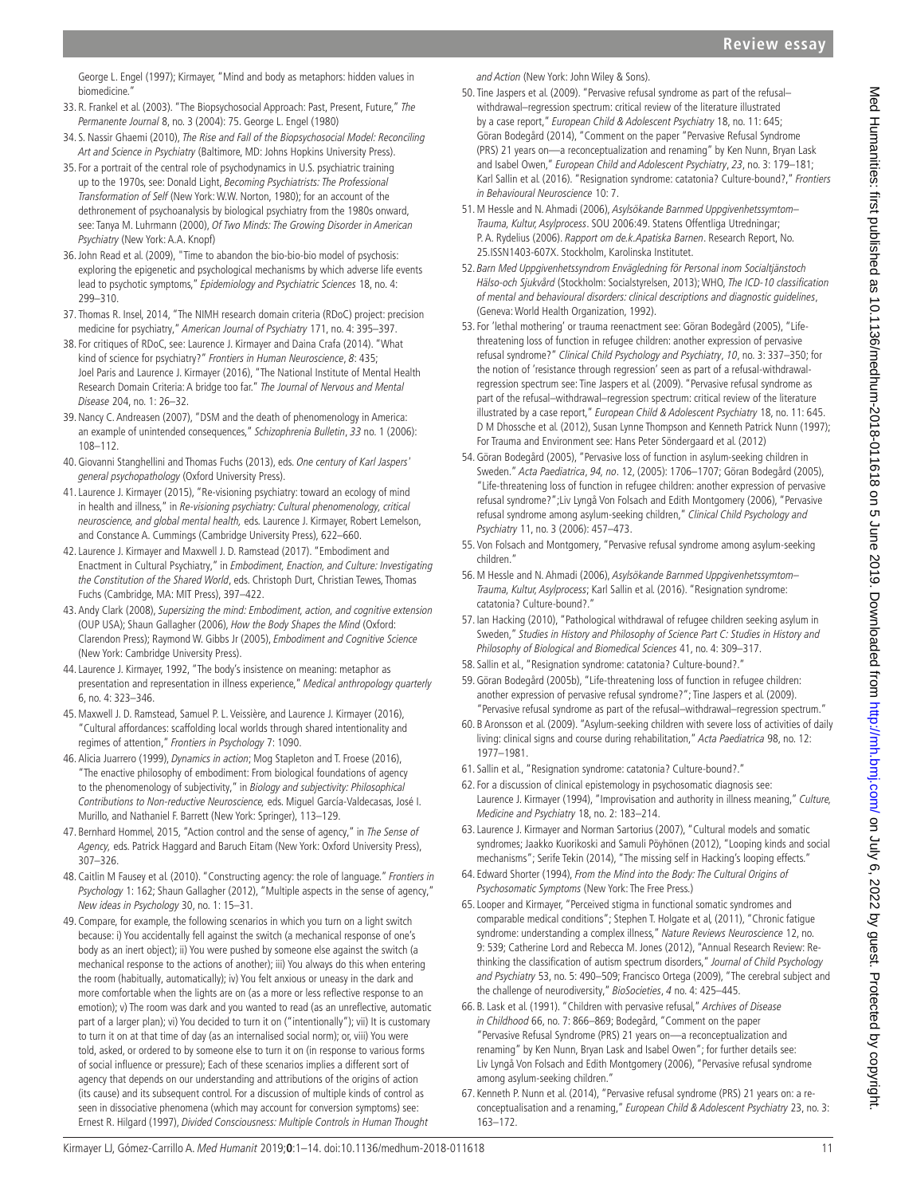[George L. Engel \(1997\)](#page-11-40); Kirmayer, "Mind and body as metaphors: hidden values in biomedicine.

- <span id="page-10-0"></span>33. [R. Frankel et al. \(2003\)](#page-11-41). "The Biopsychosocial Approach: Past, Present, Future," The Permanente Journal 8, no. 3 (2004): 75. [George L. Engel \(1980\)](#page-11-42)
- <span id="page-10-1"></span>34. [S. Nassir Ghaemi \(2010\),](#page-11-43) The Rise and Fall of the Biopsychosocial Model: Reconciling Art and Science in Psychiatry (Baltimore, MD: Johns Hopkins University Press).
- <span id="page-10-2"></span>35. For a portrait of the central role of psychodynamics in U.S. psychiatric training up to the 1970s, see: Donald Light, Becoming Psychiatrists: The Professional Transformation of Self (New York: W.W. Norton, 1980); for an account of the dethronement of psychoanalysis by biological psychiatry from the 1980s onward, see: [Tanya M. Luhrmann \(2000\)](#page-12-26), Of Two Minds: The Growing Disorder in American Psychiatry (New York: A.A. Knopf)
- <span id="page-10-3"></span>36.[John Read et al. \(2009\)](#page-12-27), "Time to abandon the bio-bio-bio model of psychosis: exploring the epigenetic and psychological mechanisms by which adverse life events lead to psychotic symptoms," Epidemiology and Psychiatric Sciences 18, no. 4: 299–310.
- <span id="page-10-4"></span>37. [Thomas R. Insel, 2014,](#page-12-28) "The NIMH research domain criteria (RDoC) project: precision medicine for psychiatry," American Journal of Psychiatry 171, no. 4: 395–397.
- <span id="page-10-5"></span>38. For critiques of RDoC, see: [Laurence J. Kirmayer and Daina Crafa \(2014\)](#page-12-29). "What kind of science for psychiatry?" Frontiers in Human Neuroscience, 8: 435; [Joel Paris and Laurence J. Kirmayer \(2016\)](#page-12-30), "The National Institute of Mental Health Research Domain Criteria: A bridge too far." The Journal of Nervous and Mental Disease 204, no. 1: 26–32.
- <span id="page-10-6"></span>39.[Nancy C. Andreasen \(2007\)](#page-11-44), "DSM and the death of phenomenology in America: an example of unintended consequences," Schizophrenia Bulletin, 33 no. 1 (2006): 108–112.
- <span id="page-10-7"></span>40.[Giovanni Stanghellini and Thomas Fuchs \(2013\)](#page-12-31), eds. One century of Karl Jaspers' general psychopathology (Oxford University Press).
- <span id="page-10-8"></span>41.[Laurence J. Kirmayer \(2015\)](#page-12-32), "Re-visioning psychiatry: toward an ecology of mind in health and illness," in Re-visioning psychiatry: Cultural phenomenology, critical neuroscience, and global mental health, eds. Laurence J. Kirmayer, Robert Lemelson, and Constance A. Cummings (Cambridge University Press), 622–660.
- <span id="page-10-9"></span>42.[Laurence J. Kirmayer and Maxwell J. D. Ramstead \(2017\).](#page-12-33) "Embodiment and Enactment in Cultural Psychiatry," in Embodiment, Enaction, and Culture: Investigating the Constitution of the Shared World, eds. Christoph Durt, Christian Tewes, Thomas Fuchs (Cambridge, MA: MIT Press), 397–422.
- <span id="page-10-10"></span>43.[Andy Clark \(2008\),](#page-11-45) Supersizing the mind: Embodiment, action, and cognitive extension (OUP USA); [Shaun Gallagher \(2006\)](#page-11-46), How the Body Shapes the Mind (Oxford: Clarendon Press); [Raymond W. Gibbs Jr \(2005\)](#page-11-47), Embodiment and Cognitive Science (New York: Cambridge University Press).
- <span id="page-10-11"></span>44.[Laurence J. Kirmayer, 1992](#page-12-34), "The body's insistence on meaning: metaphor as presentation and representation in illness experience," Medical anthropology quarterly 6, no. 4: 323–346.
- <span id="page-10-12"></span>45.[Maxwell J. D. Ramstead, Samuel P. L. Veissière, and Laurence J. Kirmayer \(2016\)](#page-12-35), "Cultural affordances: scaffolding local worlds through shared intentionality and regimes of attention," Frontiers in Psychology 7: 1090.
- <span id="page-10-13"></span>46.[Alicia Juarrero \(1999\),](#page-12-8) Dynamics in action; [Mog Stapleton and T. Froese \(2016\)](#page-12-36), "The enactive philosophy of embodiment: From biological foundations of agency to the phenomenology of subjectivity," in Biology and subjectivity: Philosophical Contributions to Non-reductive Neuroscience, eds. Miguel García-Valdecasas, José I. Murillo, and Nathaniel F. Barrett (New York: Springer), 113–129.
- <span id="page-10-14"></span>47. [Bernhard Hommel, 2015,](#page-12-37) "Action control and the sense of agency," in The Sense of Agency, eds. Patrick Haggard and Baruch Eitam (New York: Oxford University Press), 307–326.
- <span id="page-10-15"></span>48.[Caitlin M Fausey et al. \(2010\).](#page-11-48) "Constructing agency: the role of language." Frontiers in Psychology 1: 162; [Shaun Gallagher \(2012\),](#page-11-49) "Multiple aspects in the sense of agency," New ideas in Psychology 30, no. 1: 15–31.
- <span id="page-10-16"></span>49.Compare, for example, the following scenarios in which you turn on a light switch because: i) You accidentally fell against the switch (a mechanical response of one's body as an inert object); ii) You were pushed by someone else against the switch (a mechanical response to the actions of another); iii) You always do this when entering the room (habitually, automatically); iv) You felt anxious or uneasy in the dark and more comfortable when the lights are on (as a more or less reflective response to an emotion); v) The room was dark and you wanted to read (as an unreflective, automatic part of a larger plan); vi) You decided to turn it on ("intentionally"); vii) It is customary to turn it on at that time of day (as an internalised social norm); or, viii) You were told, asked, or ordered to by someone else to turn it on (in response to various forms of social influence or pressure); Each of these scenarios implies a different sort of agency that depends on our understanding and attributions of the origins of action (its cause) and its subsequent control. For a discussion of multiple kinds of control as seen in dissociative phenomena (which may account for conversion symptoms) see: [Ernest R. Hilgard \(1997\)](#page-11-50), Divided Consciousness: Multiple Controls in Human Thought

<span id="page-10-17"></span>and Action (New York: John Wiley & Sons).

- 50. [Tine Jaspers et al. \(2009\).](#page-12-38) "Pervasive refusal syndrome as part of the refusal– withdrawal–regression spectrum: critical review of the literature illustrated by a case report," European Child & Adolescent Psychiatry 18, no. 11: 645; [Göran Bodegård \(2014\),](#page-11-51) "Comment on the paper "Pervasive Refusal Syndrome (PRS) 21 years on—a reconceptualization and renaming" by Ken Nunn, Bryan Lask and Isabel Owen," European Child and Adolescent Psychiatry, 23, no. 3: 179–181; [Karl Sallin et al. \(2016\).](#page-12-39) "Resignation syndrome: catatonia? Culture-bound?," Frontiers in Behavioural Neuroscience 10: 7.
- <span id="page-10-18"></span>51. [M Hessle and N. Ahmadi \(2006\),](#page-11-52) Asylsökande Barnmed Uppgivenhetssymtom-Trauma, Kultur, Asylprocess. SOU 2006:49. Statens Offentliga Utredningar; [P. A. Rydelius \(2006\)](#page-12-40). Rapport om de.k.Apatiska Barnen. Research Report, No. 25.ISSN1403-607X. Stockholm, Karolinska Institutet.
- <span id="page-10-19"></span>52. Barn Med Uppgivenhetssyndrom Envägledning för Personal inom Socialtjänstoch Hälso-och Sjukvård (Stockholm: Socialstyrelsen, 2013); WHO, The ICD-10 classification of mental and behavioural disorders: clinical descriptions and diagnostic guidelines, (Geneva: World Health Organization, 1992).
- <span id="page-10-20"></span>53. For 'lethal mothering' or trauma reenactment see: [Göran Bodegård \(2005\),](#page-11-53) "Lifethreatening loss of function in refugee children: another expression of pervasive refusal syndrome?" Clinical Child Psychology and Psychiatry, 10, no. 3: 337–350; for the notion of 'resistance through regression' seen as part of a refusal-withdrawalregression spectrum see: [Tine Jaspers et al. \(2009\)](#page-12-38). "Pervasive refusal syndrome as part of the refusal–withdrawal–regression spectrum: critical review of the literature illustrated by a case report," European Child & Adolescent Psychiatry 18, no. 11: 645. [D M Dhossche et al. \(2012\),](#page-11-54) [Susan Lynne Thompson and Kenneth Patrick Nunn \(1997\);](#page-13-5) For Trauma and Environment see: [Hans Peter Söndergaard et al. \(2012\)](#page-12-41)
- <span id="page-10-21"></span>54.[Göran Bodegård \(2005\),](#page-11-55) "Pervasive loss of function in asylum-seeking children in Sweden." Acta Paediatrica, 94, no. 12, (2005): 1706–1707; [Göran Bodegård \(2005\),](#page-11-53) "Life-threatening loss of function in refugee children: another expression of pervasive refusal syndrome?";[Liv Lyngå Von Folsach and Edith Montgomery \(2006\),](#page-13-6) "Pervasive refusal syndrome among asylum-seeking children," Clinical Child Psychology and Psychiatry 11, no. 3 (2006): 457–473.
- <span id="page-10-22"></span>55. Von Folsach and Montgomery, "Pervasive refusal syndrome among asylum-seeking children."
- <span id="page-10-23"></span>56.[M Hessle and N. Ahmadi \(2006\),](#page-11-52) Asylsökande Barnmed Uppgivenhetssymtom– Trauma, Kultur, Asylprocess; [Karl Sallin et al. \(2016\).](#page-12-39) "Resignation syndrome: catatonia? Culture-bound?."
- <span id="page-10-24"></span>57. [Ian Hacking \(2010\),](#page-11-56) "Pathological withdrawal of refugee children seeking asylum in Sweden," Studies in History and Philosophy of Science Part C: Studies in History and Philosophy of Biological and Biomedical Sciences 41, no. 4: 309–317.
- <span id="page-10-25"></span>58. Sallin et al., "Resignation syndrome: catatonia? Culture-bound?."
- <span id="page-10-26"></span>59.[Göran Bodegård \(2005b\),](#page-11-53) "Life-threatening loss of function in refugee children: another expression of pervasive refusal syndrome?"; [Tine Jaspers et al. \(2009\).](#page-12-38) "Pervasive refusal syndrome as part of the refusal–withdrawal–regression spectrum."
- <span id="page-10-27"></span>60. [B Aronsson et al. \(2009\)](#page-11-57). "Asylum-seeking children with severe loss of activities of daily living: clinical signs and course during rehabilitation," Acta Paediatrica 98, no. 12: 1977–1981.
- <span id="page-10-28"></span>61. Sallin et al., "Resignation syndrome: catatonia? Culture-bound?."
- <span id="page-10-29"></span>62. For a discussion of clinical epistemology in psychosomatic diagnosis see: [Laurence J. Kirmayer \(1994\)](#page-12-42), "Improvisation and authority in illness meaning," Culture, Medicine and Psychiatry 18, no. 2: 183–214.
- <span id="page-10-30"></span>63.[Laurence J. Kirmayer and Norman Sartorius \(2007\),](#page-12-10) "Cultural models and somatic syndromes; [Jaakko Kuorikoski and Samuli Pöyhönen \(2012\),](#page-12-11) "Looping kinds and social mechanisms"; [Serife Tekin \(2014\),](#page-13-2) "The missing self in Hacking's looping effects."
- <span id="page-10-31"></span>64. [Edward Shorter \(1994\),](#page-12-43) From the Mind into the Body: The Cultural Origins of Psychosomatic Symptoms (New York: The Free Press.)
- <span id="page-10-32"></span>65.Looper and Kirmayer, "Perceived stigma in functional somatic syndromes and comparable medical conditions"; [Stephen T. Holgate et al, \(2011\)](#page-12-44), "Chronic fatigue syndrome: understanding a complex illness," Nature Reviews Neuroscience 12, no. 9: 539; [Catherine Lord and Rebecca M. Jones \(2012\)](#page-12-45), "Annual Research Review: Rethinking the classification of autism spectrum disorders," Journal of Child Psychology and Psychiatry 53, no. 5: 490–509; [Francisco Ortega \(2009\),](#page-12-46) "The cerebral subject and the challenge of neurodiversity," BioSocieties, 4 no. 4: 425–445.
- <span id="page-10-33"></span>66. [B. Lask et al. \(1991\)](#page-12-47). "Children with pervasive refusal," Archives of Disease in Childhood 66, no. 7: 866–869; Bodegård, "Comment on the paper "Pervasive Refusal Syndrome (PRS) 21 years on—a reconceptualization and renaming" by Ken Nunn, Bryan Lask and Isabel Owen"; for further details see: [Liv Lyngå Von Folsach and Edith Montgomery \(2006\),](#page-13-6) "Pervasive refusal syndrome among asylum-seeking children."
- <span id="page-10-34"></span>67. [Kenneth P. Nunn et al. \(2014\)](#page-12-48), "Pervasive refusal syndrome (PRS) 21 years on: a reconceptualisation and a renaming," European Child & Adolescent Psychiatry 23, no. 3: 163–172.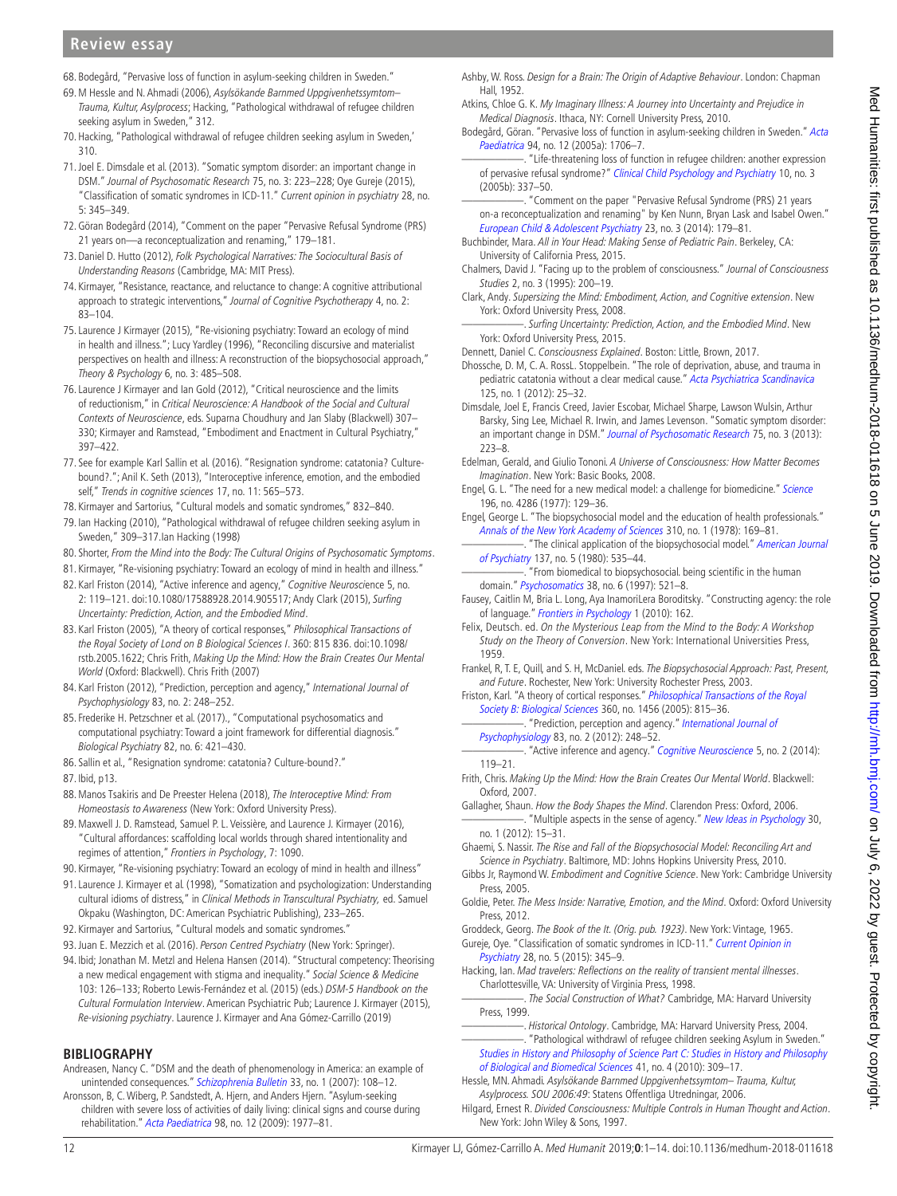# **Review essay**

- <span id="page-11-0"></span>68. Bodegård, "Pervasive loss of function in asylum-seeking children in Sweden."
- <span id="page-11-1"></span>69.[M Hessle and N. Ahmadi \(2006\),](#page-11-52) Asylsökande Barnmed Uppgivenhetssymtom– Trauma, Kultur, Asylprocess; Hacking, "Pathological withdrawal of refugee children seeking asylum in Sweden," 312.
- <span id="page-11-2"></span>70.Hacking, "Pathological withdrawal of refugee children seeking asylum in Sweden,' 310.
- <span id="page-11-3"></span>71.[Joel E. Dimsdale et al. \(2013\).](#page-11-58) "Somatic symptom disorder: an important change in DSM." Journal of Psychosomatic Research 75, no. 3: 223–228; [Oye Gureje \(2015\)](#page-11-59), "Classification of somatic syndromes in ICD-11." Current opinion in psychiatry 28, no. 5: 345–349.
- <span id="page-11-4"></span>72.[Göran Bodegård \(2014\),](#page-11-51) "Comment on the paper "Pervasive Refusal Syndrome (PRS) 21 years on—a reconceptualization and renaming," 179–181.
- <span id="page-11-5"></span>73.[Daniel D. Hutto \(2012\),](#page-12-9) Folk Psychological Narratives: The Sociocultural Basis of Understanding Reasons (Cambridge, MA: MIT Press).
- <span id="page-11-6"></span>74. Kirmayer, "Resistance, reactance, and reluctance to change: A cognitive attributional approach to strategic interventions," Journal of Cognitive Psychotherapy 4, no. 2: 83–104.
- <span id="page-11-7"></span>75.[Laurence J Kirmayer \(2015\)](#page-12-32), "Re-visioning psychiatry: Toward an ecology of mind in health and illness."; [Lucy Yardley \(1996\)](#page-13-7), "Reconciling discursive and materialist perspectives on health and illness: A reconstruction of the biopsychosocial approach," Theory & Psychology 6, no. 3: 485-508.
- <span id="page-11-8"></span>76.[Laurence J Kirmayer and Ian Gold \(2012\)](#page-12-49), "Critical neuroscience and the limits of reductionism," in Critical Neuroscience: A Handbook of the Social and Cultural Contexts of Neuroscience, eds. Suparna Choudhury and Jan Slaby (Blackwell) 307– 330; Kirmayer and Ramstead, "Embodiment and Enactment in Cultural Psychiatry," 397–422.
- <span id="page-11-9"></span>77. See for example [Karl Sallin et al. \(2016\)](#page-12-39). "Resignation syndrome: catatonia? Culturebound?."; [Anil K. Seth \(2013\)](#page-12-50), "Interoceptive inference, emotion, and the embodied self," Trends in cognitive sciences 17, no. 11: 565–573.
- <span id="page-11-10"></span>78. Kirmayer and Sartorius, "Cultural models and somatic syndromes," 832–840.
- <span id="page-11-11"></span>79. [Ian Hacking \(2010\)](#page-11-56), "Pathological withdrawal of refugee children seeking asylum in Sweden," 309–317[.Ian Hacking \(1998\)](#page-11-60)
- <span id="page-11-12"></span>80. Shorter, From the Mind into the Body: The Cultural Origins of Psychosomatic Symptoms.
- <span id="page-11-13"></span>81. Kirmayer, "Re-visioning psychiatry: Toward an ecology of mind in health and illness."
- <span id="page-11-14"></span>82. [Karl Friston \(2014\),](#page-11-61) "Active inference and agency," Cognitive Neuroscience 5, no. 2: 119–121. doi:10.1080/17588928.2014.905517; [Andy Clark \(2015\)](#page-11-62), Surfing Uncertainty: Prediction, Action, and the Embodied Mind.
- <span id="page-11-15"></span>83. [Karl Friston \(2005\),](#page-11-63) "A theory of cortical responses," Philosophical Transactions of the Royal Society of Lond on B Biological Sciences I. 360: 815 836. doi:10.1098/ rstb.2005.1622; Chris Frith, Making Up the Mind: How the Brain Creates Our Mental World (Oxford: Blackwell). [Chris Frith \(2007\)](#page-11-64)
- <span id="page-11-16"></span>84. [Karl Friston \(2012\),](#page-11-65) "Prediction, perception and agency," International Journal of Psychophysiology 83, no. 2: 248–252.
- <span id="page-11-17"></span>85. [Frederike H. Petzschner et al. \(2017\)](#page-12-51)., "Computational psychosomatics and computational psychiatry: Toward a joint framework for differential diagnosis." Biological Psychiatry 82, no. 6: 421–430.
- <span id="page-11-18"></span>86. Sallin et al., "Resignation syndrome: catatonia? Culture-bound?."
- <span id="page-11-19"></span>87. Ibid, p13.
- <span id="page-11-20"></span>88. [Manos Tsakiris and De Preester Helena \(2018\),](#page-13-8) The Interoceptive Mind: From Homeostasis to Awareness (New York: Oxford University Press).
- <span id="page-11-21"></span>89.[Maxwell J. D. Ramstead, Samuel P. L. Veissière, and Laurence J. Kirmayer \(2016\)](#page-12-35), "Cultural affordances: scaffolding local worlds through shared intentionality and regimes of attention," Frontiers in Psychology, 7: 1090.
- <span id="page-11-22"></span>90. Kirmayer, "Re-visioning psychiatry: Toward an ecology of mind in health and illness"
- <span id="page-11-23"></span>91.[Laurence J. Kirmayer et al. \(1998\)](#page-12-52), "Somatization and psychologization: Understanding cultural idioms of distress," in Clinical Methods in Transcultural Psychiatry, ed. Samuel Okpaku (Washington, DC: American Psychiatric Publishing), 233–265.
- <span id="page-11-24"></span>92. Kirmayer and Sartorius, "Cultural models and somatic syndromes."
- <span id="page-11-25"></span>93. [Juan E. Mezzich et al. \(2016\).](#page-12-53) Person Centred Psychiatry (New York: Springer).
- <span id="page-11-26"></span>94. Ibid; [Jonathan M. Metzl and Helena Hansen \(2014\)](#page-12-54). "Structural competency: Theorising a new medical engagement with stigma and inequality." Social Science & Medicine 103: 126–133; [Roberto Lewis-Fernández et al. \(2015\)](#page-12-55) (eds.) DSM-5 Handbook on the Cultural Formulation Interview. American Psychiatric Pub; [Laurence J. Kirmayer \(2015\)](#page-12-32), Re-visioning psychiatry. [Laurence J. Kirmayer and Ana Gómez-Carrillo \(2019\)](#page-12-56)

## **Bibliography**

- <span id="page-11-44"></span>Andreasen, Nancy C. "DSM and the death of phenomenology in America: an example of unintended consequences." [Schizophrenia Bulletin](http://dx.doi.org/10.1093/schbul/sbl054) 33, no. 1 (2007): 108-12.
- <span id="page-11-57"></span>Aronsson, B, C. Wiberg, P. Sandstedt, A. Hjern, and Anders Hjern. "Asylum-seeking children with severe loss of activities of daily living: clinical signs and course during rehabilitation." [Acta Paediatrica](http://dx.doi.org/10.1111/j.1651-2227.2009.01499.x) 98, no. 12 (2009): 1977–81.
- <span id="page-11-29"></span>Ashby, W. Ross. Design for a Brain: The Origin of Adaptive Behaviour. London: Chapman Hall, 1952.
- <span id="page-11-36"></span>Atkins, Chloe G. K. My Imaginary Illness: A Journey into Uncertainty and Prejudice in Medical Diagnosis. Ithaca, NY: Cornell University Press, 2010.
- <span id="page-11-55"></span>Bodegård, Göran. "Pervasive loss of function in asylum-seeking children in Sweden." [Acta](http://dx.doi.org/10.1080/08035250510036778)  [Paediatrica](http://dx.doi.org/10.1080/08035250510036778) 94, no. 12 (2005a): 1706–7.
- <span id="page-11-53"></span>. "Life-threatening loss of function in refugee children: another expression of pervasive refusal syndrome?" [Clinical Child Psychology and Psychiatry](http://dx.doi.org/10.1177/1359104505053753) 10, no. 3 (2005b): 337–50.
- <span id="page-11-51"></span>"Comment on the paper "Pervasive Refusal Syndrome (PRS) 21 years on-a reconceptualization and renaming" by Ken Nunn, Bryan Lask and Isabel Owen." [European Child & Adolescent Psychiatry](http://dx.doi.org/10.1007/s00787-013-0435-5) 23, no. 3 (2014): 179–81.
- <span id="page-11-28"></span>Buchbinder, Mara. All in Your Head: Making Sense of Pediatric Pain. Berkeley, CA: University of California Press, 2015.
- <span id="page-11-33"></span>Chalmers, David J. "Facing up to the problem of consciousness." Journal of Consciousness Studies 2, no. 3 (1995): 200–19.
- <span id="page-11-45"></span>Clark, Andy. Supersizing the Mind: Embodiment, Action, and Cognitive extension. New York: Oxford University Press, 2008.
- <span id="page-11-62"></span>-. Surfing Uncertainty: Prediction, Action, and the Embodied Mind. New York: Oxford University Press, 2015.
- <span id="page-11-34"></span>Dennett, Daniel C. Consciousness Explained. Boston: Little, Brown, 2017.
- <span id="page-11-54"></span>Dhossche, D. M, C. A. RossL. Stoppelbein. "The role of deprivation, abuse, and trauma in pediatric catatonia without a clear medical cause." [Acta Psychiatrica Scandinavica](http://dx.doi.org/10.1111/j.1600-0447.2011.01779.x) 125, no. 1 (2012): 25–32.
- <span id="page-11-58"></span>Dimsdale, Joel E, Francis Creed, Javier Escobar, Michael Sharpe, Lawson Wulsin, Arthur Barsky, Sing Lee, Michael R. Irwin, and James Levenson. "Somatic symptom disorder: an important change in DSM." [Journal of Psychosomatic Research](http://dx.doi.org/10.1016/j.jpsychores.2013.06.033) 75, no. 3 (2013): 223–8.
- <span id="page-11-35"></span>Edelman, Gerald, and Giulio Tononi. A Universe of Consciousness: How Matter Becomes Imagination. New York: Basic Books, 2008.
- <span id="page-11-38"></span>Engel, G. L. "The need for a new medical model: a challenge for biomedicine." [Science](http://dx.doi.org/10.1126/science.847460) 196, no. 4286 (1977): 129–36.
- <span id="page-11-39"></span>Engel, George L. "The biopsychosocial model and the education of health professionals." [Annals of the New York Academy of Sciences](http://dx.doi.org/10.1111/j.1749-6632.1978.tb22070.x) 310, no. 1 (1978): 169–81.
- <span id="page-11-42"></span>-. "The clinical application of the biopsychosocial model." American Journal [of Psychiatry](http://dx.doi.org/10.1176/ajp.137.5.535) 137, no. 5 (1980): 535–44.
- <span id="page-11-40"></span>. "From biomedical to biopsychosocial. being scientific in the human domain." [Psychosomatics](http://dx.doi.org/10.1016/S0033-3182(97)71396-3) 38, no. 6 (1997): 521–8.
- <span id="page-11-48"></span>Fausey, Caitlin M, Bria L. Long, Aya InamoriLera Boroditsky. "Constructing agency: the role of language." [Frontiers in Psychology](http://dx.doi.org/10.3389/fpsyg.2010.00162) 1 (2010): 162.
- <span id="page-11-27"></span>Felix, Deutsch. ed. On the Mysterious Leap from the Mind to the Body: A Workshop Study on the Theory of Conversion. New York: International Universities Press, 1959.
- <span id="page-11-41"></span>Frankel, R, T. E, Quill, and S. H, McDaniel. eds. The Biopsychosocial Approach: Past, Present, and Future. Rochester, New York: University Rochester Press, 2003.
- <span id="page-11-65"></span><span id="page-11-63"></span>Friston, Karl. "A theory of cortical responses." Philosophical Transactions of the Royal [Society B: Biological Sciences](http://dx.doi.org/10.1098/rstb.2005.1622) 360, no. 1456 (2005): 815–36.
	- "Prediction, perception and agency." International Journal of [Psychophysiology](http://dx.doi.org/10.1016/j.ijpsycho.2011.11.014) 83, no. 2 (2012): 248–52.

<span id="page-11-61"></span>"Active inference and agency." [Cognitive Neuroscience](http://dx.doi.org/10.1080/17588928.2014.905517) 5, no. 2 (2014): 119–21.

- <span id="page-11-64"></span>Frith, Chris. Making Up the Mind: How the Brain Creates Our Mental World. Blackwell: Oxford, 2007.
- <span id="page-11-49"></span><span id="page-11-46"></span>Gallagher, Shaun. How the Body Shapes the Mind. Clarendon Press: Oxford, 2006. "Multiple aspects in the sense of agency." [New Ideas in Psychology](http://dx.doi.org/10.1016/j.newideapsych.2010.03.003) 30, no. 1 (2012): 15–31.
- <span id="page-11-43"></span>Ghaemi, S. Nassir. The Rise and Fall of the Biopsychosocial Model: Reconciling Art and Science in Psychiatry. Baltimore, MD: Johns Hopkins University Press, 2010.
- <span id="page-11-47"></span>Gibbs Jr, Raymond W. Embodiment and Cognitive Science. New York: Cambridge University Press, 2005.
- <span id="page-11-30"></span>Goldie, Peter. The Mess Inside: Narrative, Emotion, and the Mind. Oxford: Oxford University Press, 2012.
- <span id="page-11-37"></span>Groddeck, Georg. The Book of the It. (Orig. pub. 1923). New York: Vintage, 1965.
- <span id="page-11-59"></span>Gureje, Oye. "Classification of somatic syndromes in ICD-11." Current Opinion in [Psychiatry](http://dx.doi.org/10.1097/YCO.0000000000000186) 28, no. 5 (2015): 345-9.
- <span id="page-11-60"></span>Hacking, Ian. Mad travelers: Reflections on the reality of transient mental illnesses. Charlottesville, VA: University of Virginia Press, 1998.

<span id="page-11-31"></span>-. The Social Construction of What? Cambridge, MA: Harvard University Press, 1999.

<span id="page-11-56"></span><span id="page-11-32"></span>-. Historical Ontology. Cambridge, MA: Harvard University Press, 2004. . "Pathological withdrawl of refugee children seeking Asylum in Sweden." [Studies in History and Philosophy of Science Part C: Studies in History and Philosophy](http://dx.doi.org/10.1016/j.shpsc.2010.10.001)  [of Biological and Biomedical Sciences](http://dx.doi.org/10.1016/j.shpsc.2010.10.001) 41, no. 4 (2010): 309–17.

<span id="page-11-52"></span>Hessle, MN. Ahmadi. Asylsökande Barnmed Uppgivenhetssymtom– Trauma, Kultur, Asylprocess. SOU 2006:49: Statens Offentliga Utredningar, 2006.

<span id="page-11-50"></span>Hilgard, Ernest R. Divided Consciousness: Multiple Controls in Human Thought and Action. New York: John Wiley & Sons, 1997.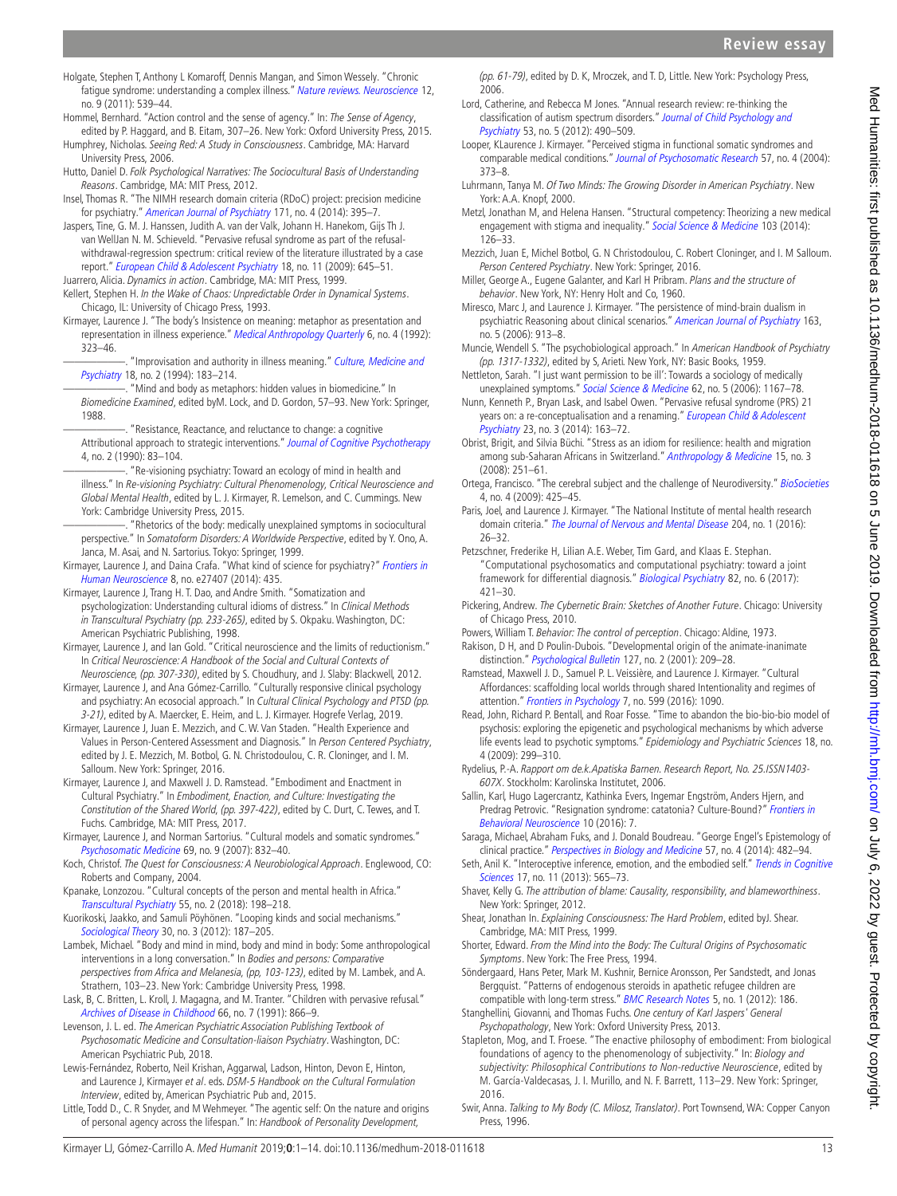# **Review essay**

- <span id="page-12-44"></span>Holgate, Stephen T, Anthony L Komaroff, Dennis Mangan, and Simon Wessely. "Chronic fatigue syndrome: understanding a complex illness." [Nature reviews. Neuroscience](http://dx.doi.org/10.1038/nrn3087) 12, no. 9 (2011): 539–44.
- <span id="page-12-37"></span>Hommel, Bernhard. "Action control and the sense of agency." In: The Sense of Agency, edited by P. Haggard, and B. Eitam, 307–26. New York: Oxford University Press, 2015.
- <span id="page-12-14"></span>Humphrey, Nicholas. Seeing Red: A Study in Consciousness. Cambridge, MA: Harvard University Press, 2006.
- <span id="page-12-9"></span>Hutto, Daniel D. Folk Psychological Narratives: The Sociocultural Basis of Understanding Reasons. Cambridge, MA: MIT Press, 2012.
- <span id="page-12-28"></span>Insel, Thomas R. "The NIMH research domain criteria (RDoC) project: precision medicine for psychiatry." [American Journal of Psychiatry](http://dx.doi.org/10.1176/appi.ajp.2014.14020138) 171, no. 4 (2014): 395–7.
- <span id="page-12-38"></span>Jaspers, Tine, G. M. J. Hanssen, Judith A. van der Valk, Johann H. Hanekom, Gijs Th J. van WellJan N. M. Schieveld. "Pervasive refusal syndrome as part of the refusalwithdrawal-regression spectrum: critical review of the literature illustrated by a case report." [European Child & Adolescent Psychiatry](http://dx.doi.org/10.1007/s00787-009-0027-6) 18, no. 11 (2009): 645-51.
- <span id="page-12-8"></span><span id="page-12-7"></span>Juarrero, Alicia. Dynamics in action. Cambridge, MA: MIT Press, 1999. Kellert, Stephen H. In the Wake of Chaos: Unpredictable Order in Dynamical Systems. Chicago, IL: University of Chicago Press, 1993.
- <span id="page-12-42"></span><span id="page-12-34"></span><span id="page-12-2"></span>Kirmayer, Laurence J. "The body's Insistence on meaning: metaphor as presentation and representation in illness experience." [Medical Anthropology Quarterly](http://dx.doi.org/10.1525/maq.1992.6.4.02a00020) 6, no. 4 (1992): 323–46.
	- "Improvisation and authority in illness meaning." Culture, Medicine and [Psychiatry](http://dx.doi.org/10.1007/BF01379449) 18, no. 2 (1994): 183–214.
		- . "Mind and body as metaphors: hidden values in biomedicine." In
	- Biomedicine Examined, edited byM. Lock, and D. Gordon, 57–93. New York: Springer, 1988. "Resistance, Reactance, and reluctance to change: a cognitive
	- Attributional approach to strategic interventions." [Journal of Cognitive Psychotherapy](http://dx.doi.org/10.1891/0889-8391.4.2.83) 4, no. 2 (1990): 83–104.
	- "Re-visioning psychiatry: Toward an ecology of mind in health and illness." In Re-visioning Psychiatry: Cultural Phenomenology, Critical Neuroscience and Global Mental Health, edited by L. J. Kirmayer, R. Lemelson, and C. Cummings. New York: Cambridge University Press, 2015.
	- -. "Rhetorics of the body: medically unexplained symptoms in sociocultural perspective." In Somatoform Disorders: A Worldwide Perspective, edited by Y. Ono, A. Janca, M. Asai, and N. Sartorius. Tokyo: Springer, 1999.
- <span id="page-12-32"></span><span id="page-12-29"></span><span id="page-12-22"></span>Kirmayer, Laurence J, and Daina Crafa. "What kind of science for psychiatry?" Frontiers in [Human Neuroscience](http://dx.doi.org/10.3389/fnhum.2014.00435) 8, no. e27407 (2014): 435.
- <span id="page-12-52"></span>Kirmayer, Laurence J, Trang H. T. Dao, and Andre Smith. "Somatization and psychologization: Understanding cultural idioms of distress." In Clinical Methods in Transcultural Psychiatry (pp. 233-265), edited by S. Okpaku. Washington, DC: American Psychiatric Publishing, 1998.
- <span id="page-12-49"></span>Kirmayer, Laurence J, and Ian Gold. "Critical neuroscience and the limits of reductionism." In Critical Neuroscience: A Handbook of the Social and Cultural Contexts of Neuroscience, (pp. 307-330), edited by S. Choudhury, and J. Slaby: Blackwell, 2012.
- <span id="page-12-56"></span>Kirmayer, Laurence J, and Ana Gómez-Carrillo. "Culturally responsive clinical psychology and psychiatry: An ecosocial approach." In Cultural Clinical Psychology and PTSD (pp. 3-21), edited by A. Maercker, E. Heim, and L. J. Kirmayer. Hogrefe Verlag, 2019.
- Kirmayer, Laurence J, Juan E. Mezzich, and C. W. Van Staden. "Health Experience and Values in Person-Centered Assessment and Diagnosis." In Person Centered Psychiatry, edited by J. E. Mezzich, M. Botbol, G. N. Christodoulou, C. R. Cloninger, and I. M. Salloum. New York: Springer, 2016.
- <span id="page-12-33"></span>Kirmayer, Laurence J, and Maxwell J. D. Ramstead. "Embodiment and Enactment in Cultural Psychiatry." In Embodiment, Enaction, and Culture: Investigating the Constitution of the Shared World, (pp. 397-422), edited by C. Durt, C. Tewes, and T. Fuchs. Cambridge, MA: MIT Press, 2017.
- <span id="page-12-10"></span>Kirmayer, Laurence J, and Norman Sartorius. "Cultural models and somatic syndromes." [Psychosomatic Medicine](http://dx.doi.org/10.1097/PSY.0b013e31815b002c) 69, no. 9 (2007): 832–40.
- <span id="page-12-13"></span>Koch, Christof. The Quest for Consciousness: A Neurobiological Approach. Englewood, CO: Roberts and Company, 2004.
- <span id="page-12-18"></span>Kpanake, Lonzozou. "Cultural concepts of the person and mental health in Africa." [Transcultural Psychiatry](http://dx.doi.org/10.1177/1363461517749435) 55, no. 2 (2018): 198–218.
- <span id="page-12-11"></span>Kuorikoski, Jaakko, and Samuli Pöyhönen. "Looping kinds and social mechanisms." [Sociological Theory](http://dx.doi.org/10.1177/0735275112457911) 30, no. 3 (2012): 187–205.
- <span id="page-12-17"></span>Lambek, Michael. "Body and mind in mind, body and mind in body: Some anthropological interventions in a long conversation." In Bodies and persons: Comparative perspectives from Africa and Melanesia, (pp, 103-123), edited by M. Lambek, and A. Strathern, 103–23. New York: Cambridge University Press, 1998.
- <span id="page-12-47"></span>Lask, B, C. Britten, L. Kroll, J. Magagna, and M. Tranter. "Children with pervasive refusal." [Archives of Disease in Childhood](http://dx.doi.org/10.1136/adc.66.7.866) 66, no. 7 (1991): 866–9.
- <span id="page-12-1"></span>Levenson, J. L. ed. The American Psychiatric Association Publishing Textbook of Psychosomatic Medicine and Consultation-liaison Psychiatry. Washington, DC: American Psychiatric Pub, 2018.
- <span id="page-12-55"></span>Lewis-Fernández, Roberto, Neil Krishan, Aggarwal, Ladson, Hinton, Devon E, Hinton, and Laurence J, Kirmayer et al. eds. DSM-5 Handbook on the Cultural Formulation Interview, edited by, American Psychiatric Pub and, 2015.
- <span id="page-12-16"></span>Little, Todd D., C. R Snyder, and M Wehmeyer. "The agentic self: On the nature and origins of personal agency across the lifespan." In: Handbook of Personality Development,

(pp. 61-79), edited by D. K, Mroczek, and T. D, Little. New York: Psychology Press, 2006.

- <span id="page-12-45"></span>Lord, Catherine, and Rebecca M Jones. "Annual research review: re-thinking the classification of autism spectrum disorders." [Journal of Child Psychology and](http://dx.doi.org/10.1111/j.1469-7610.2012.02547.x)  [Psychiatry](http://dx.doi.org/10.1111/j.1469-7610.2012.02547.x) 53, no. 5 (2012): 490–509.
- <span id="page-12-21"></span>Looper, KLaurence J. Kirmayer. "Perceived stigma in functional somatic syndromes and comparable medical conditions." [Journal of Psychosomatic Research](http://dx.doi.org/10.1016/S0022-3999(04)00447-7) 57, no. 4 (2004): 373–8.
- <span id="page-12-26"></span>Luhrmann, Tanya M. Of Two Minds: The Growing Disorder in American Psychiatry. New York: A.A. Knopf, 2000.
- <span id="page-12-54"></span>Metzl, Jonathan M, and Helena Hansen. "Structural competency: Theorizing a new medical engagement with stigma and inequality." [Social Science & Medicine](http://dx.doi.org/10.1016/j.socscimed.2013.06.032) 103 (2014): 126–33.
- <span id="page-12-53"></span>Mezzich, Juan E, Michel Botbol, G. N Christodoulou, C. Robert Cloninger, and I. M Salloum. Person Centered Psychiatry. New York: Springer, 2016.
- <span id="page-12-4"></span>Miller, George A., Eugene Galanter, and Karl H Pribram. Plans and the structure of behavior. New York, NY: Henry Holt and Co, 1960.
- <span id="page-12-3"></span>Miresco, Marc J, and Laurence J. Kirmayer. "The persistence of mind-brain dualism in psychiatric Reasoning about clinical scenarios." [American Journal of Psychiatry](http://dx.doi.org/10.1176/ajp.2006.163.5.913) 163, no. 5 (2006): 913–8.
- <span id="page-12-25"></span>Muncie, Wendell S. "The psychobiological approach." In American Handbook of Psychiatry (pp. 1317-1332), edited by S, Arieti. New York, NY: Basic Books, 1959.
- <span id="page-12-23"></span>Nettleton, Sarah. "I just want permission to be ill': Towards a sociology of medically unexplained symptoms." [Social Science & Medicine](http://dx.doi.org/10.1016/j.socscimed.2005.07.030) 62, no. 5 (2006): 1167-78.
- <span id="page-12-48"></span>Nunn, Kenneth P., Bryan Lask, and Isabel Owen. "Pervasive refusal syndrome (PRS) 21 years on: a re-conceptualisation and a renaming." European Child & Adolescent [Psychiatry](http://dx.doi.org/10.1007/s00787-013-0433-7) 23, no. 3 (2014): 163–72.
- <span id="page-12-19"></span>Obrist, Brigit, and Silvia Büchi. "Stress as an idiom for resilience: health and migration among sub-Saharan Africans in Switzerland." [Anthropology & Medicine](http://dx.doi.org/10.1080/13648470802357596) 15, no. 3 (2008): 251–61.
- <span id="page-12-46"></span>Ortega, Francisco. "The cerebral subject and the challenge of Neurodiversity." [BioSocieties](http://dx.doi.org/10.1017/S1745855209990287) 4, no. 4 (2009): 425–45.
- <span id="page-12-30"></span>Paris, Joel, and Laurence J. Kirmayer. "The National Institute of mental health research domain criteria." [The Journal of Nervous and Mental Disease](http://dx.doi.org/10.1097/NMD.0000000000000435) 204, no. 1 (2016): 26–32.
- <span id="page-12-51"></span>Petzschner, Frederike H, Lilian A.E. Weber, Tim Gard, and Klaas E. Stephan. "Computational psychosomatics and computational psychiatry: toward a joint framework for differential diagnosis." [Biological Psychiatry](http://dx.doi.org/10.1016/j.biopsych.2017.05.012) 82, no. 6 (2017): 421–30.
- <span id="page-12-6"></span>Pickering, Andrew. The Cybernetic Brain: Sketches of Another Future. Chicago: University of Chicago Press, 2010.
- <span id="page-12-5"></span>Powers, William T. Behavior: The control of perception. Chicago: Aldine, 1973.
- <span id="page-12-15"></span>Rakison, D H, and D Poulin-Dubois. "Developmental origin of the animate-inanimate distinction." [Psychological Bulletin](http://dx.doi.org/10.1037/0033-2909.127.2.209) 127, no. 2 (2001): 209-28.
- <span id="page-12-35"></span>Ramstead, Maxwell J. D., Samuel P. L. Veissière, and Laurence J. Kirmayer. "Cultural Affordances: scaffolding local worlds through shared Intentionality and regimes of attention." [Frontiers in Psychology](http://dx.doi.org/10.3389/fpsyg.2016.01090) 7, no. 599 (2016): 1090.
- <span id="page-12-27"></span>Read, John, Richard P. Bentall, and Roar Fosse. "Time to abandon the bio-bio-bio model of psychosis: exploring the epigenetic and psychological mechanisms by which adverse life events lead to psychotic symptoms." Epidemiology and Psychiatric Sciences 18, no. 4 (2009): 299–310.
- <span id="page-12-40"></span>Rydelius, P.-A. Rapport om de.k.Apatiska Barnen. Research Report, No. 25.ISSN1403- 607X. Stockholm: Karolinska Institutet, 2006.
- <span id="page-12-39"></span>Sallin, Karl, Hugo Lagercrantz, Kathinka Evers, Ingemar Engström, Anders Hjern, and Predrag Petrovic. "Resignation syndrome: catatonia? Culture-Bound?" Frontiers in [Behavioral Neuroscience](http://dx.doi.org/10.3389/fnbeh.2016.00007) 10 (2016): 7.
- <span id="page-12-24"></span>Saraga, Michael, Abraham Fuks, and J. Donald Boudreau. "George Engel's Epistemology of clinical practice." [Perspectives in Biology and Medicine](http://dx.doi.org/10.1353/pbm.2014.0038) 57, no. 4 (2014): 482–94.
- <span id="page-12-50"></span>Seth, Anil K. "Interoceptive inference, emotion, and the embodied self." [Trends in Cognitive](http://dx.doi.org/10.1016/j.tics.2013.09.007) [Sciences](http://dx.doi.org/10.1016/j.tics.2013.09.007) 17, no. 11 (2013): 565-73.
- <span id="page-12-20"></span>Shaver, Kelly G. The attribution of blame: Causality, responsibility, and blameworthiness. New York: Springer, 2012.
- <span id="page-12-12"></span>Shear, Jonathan In. Explaining Consciousness: The Hard Problem, edited byJ. Shear. Cambridge, MA: MIT Press, 1999.
- <span id="page-12-43"></span>Shorter, Edward. From the Mind into the Body: The Cultural Origins of Psychosomatic Symptoms. New York: The Free Press, 1994.
- <span id="page-12-41"></span>Söndergaard, Hans Peter, Mark M. Kushnir, Bernice Aronsson, Per Sandstedt, and Jonas Bergquist. "Patterns of endogenous steroids in apathetic refugee children are compatible with long-term stress." [BMC Research Notes](http://dx.doi.org/10.1186/1756-0500-5-186) 5, no. 1 (2012): 186.
- <span id="page-12-31"></span>Stanghellini, Giovanni, and Thomas Fuchs. One century of Karl Jaspers' General Psychopathology, New York: Oxford University Press, 2013.
- <span id="page-12-36"></span>Stapleton, Mog, and T. Froese. "The enactive philosophy of embodiment: From biological foundations of agency to the phenomenology of subjectivity." In: Biology and subjectivity: Philosophical Contributions to Non-reductive Neuroscience, edited by M. García-Valdecasas, J. I. Murillo, and N. F. Barrett, 113–29. New York: Springer, 2016.
- <span id="page-12-0"></span>Swir, Anna. Talking to My Body (C. Milosz, Translator). Port Townsend, WA: Copper Canyon Press, 1996.